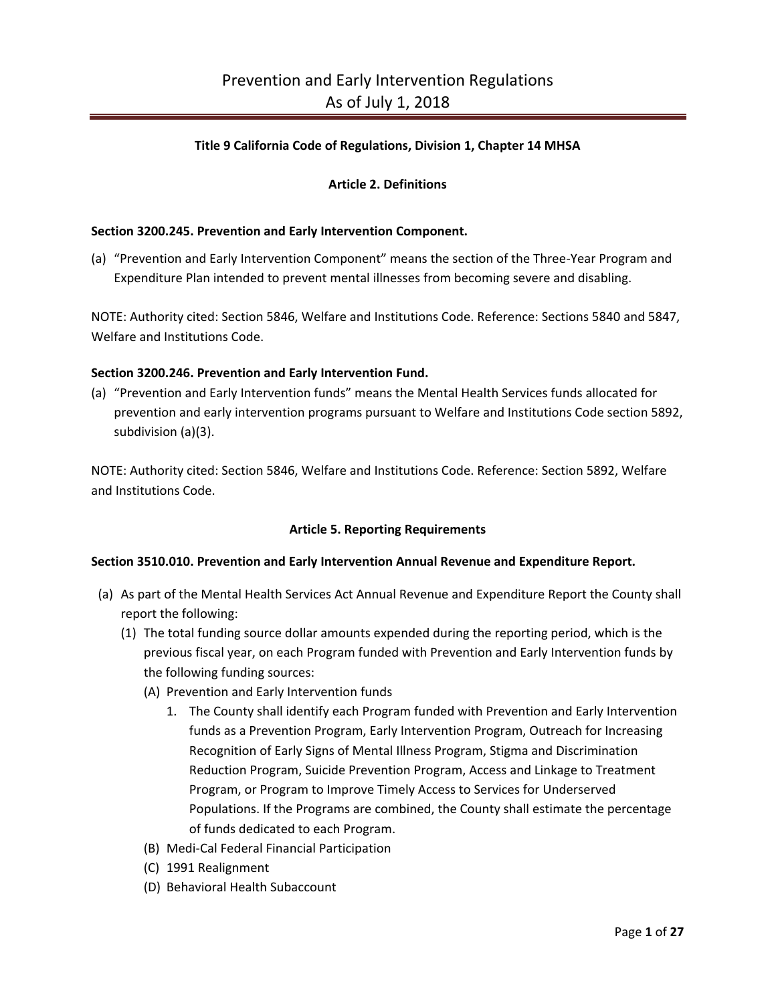### **Title 9 California Code of Regulations, Division 1, Chapter 14 MHSA**

## **Article 2. Definitions**

#### **Section 3200.245. Prevention and Early Intervention Component.**

(a) "Prevention and Early Intervention Component" means the section of the Three-Year Program and Expenditure Plan intended to prevent mental illnesses from becoming severe and disabling.

NOTE: Authority cited: Section 5846, Welfare and Institutions Code. Reference: Sections 5840 and 5847, Welfare and Institutions Code.

#### **Section 3200.246. Prevention and Early Intervention Fund.**

(a) "Prevention and Early Intervention funds" means the Mental Health Services funds allocated for prevention and early intervention programs pursuant to Welfare and Institutions Code section 5892, subdivision (a)(3).

NOTE: Authority cited: Section 5846, Welfare and Institutions Code. Reference: Section 5892, Welfare and Institutions Code.

#### **Article 5. Reporting Requirements**

#### **Section 3510.010. Prevention and Early Intervention Annual Revenue and Expenditure Report.**

- (a) As part of the Mental Health Services Act Annual Revenue and Expenditure Report the County shall report the following:
	- (1) The total funding source dollar amounts expended during the reporting period, which is the previous fiscal year, on each Program funded with Prevention and Early Intervention funds by the following funding sources:
		- (A) Prevention and Early Intervention funds
			- 1. The County shall identify each Program funded with Prevention and Early Intervention funds as a Prevention Program, Early Intervention Program, Outreach for Increasing Recognition of Early Signs of Mental Illness Program, Stigma and Discrimination Reduction Program, Suicide Prevention Program, Access and Linkage to Treatment Program, or Program to Improve Timely Access to Services for Underserved Populations. If the Programs are combined, the County shall estimate the percentage of funds dedicated to each Program.
		- (B) Medi-Cal Federal Financial Participation
		- (C) 1991 Realignment
		- (D) Behavioral Health Subaccount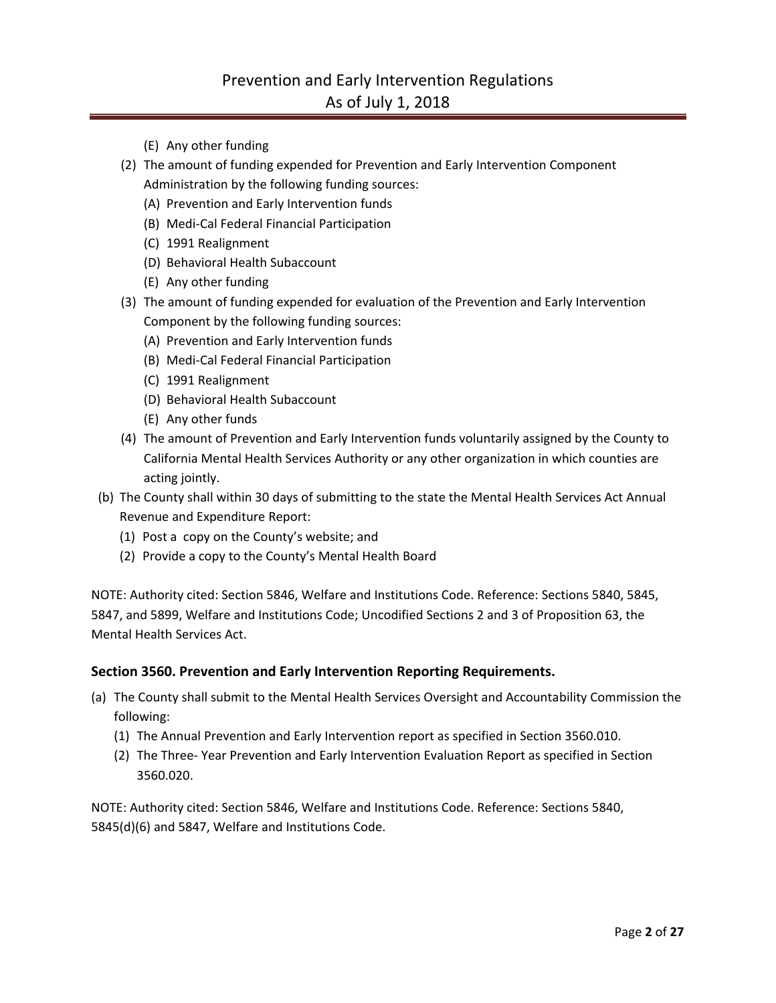# Prevention and Early Intervention Regulations As of July 1, 2018

- (E) Any other funding
- (2) The amount of funding expended for Prevention and Early Intervention Component Administration by the following funding sources:
	- (A) Prevention and Early Intervention funds
	- (B) Medi-Cal Federal Financial Participation
	- (C) 1991 Realignment
	- (D) Behavioral Health Subaccount
	- (E) Any other funding
- (3) The amount of funding expended for evaluation of the Prevention and Early Intervention Component by the following funding sources:
	- (A) Prevention and Early Intervention funds
	- (B) Medi-Cal Federal Financial Participation
	- (C) 1991 Realignment
	- (D) Behavioral Health Subaccount
	- (E) Any other funds
- (4) The amount of Prevention and Early Intervention funds voluntarily assigned by the County to California Mental Health Services Authority or any other organization in which counties are acting jointly.
- (b) The County shall within 30 days of submitting to the state the Mental Health Services Act Annual Revenue and Expenditure Report:
	- (1) Post a copy on the County's website; and
	- (2) Provide a copy to the County's Mental Health Board

NOTE: Authority cited: Section 5846, Welfare and Institutions Code. Reference: Sections 5840, 5845, 5847, and 5899, Welfare and Institutions Code; Uncodified Sections 2 and 3 of Proposition 63, the Mental Health Services Act.

### **Section 3560. Prevention and Early Intervention Reporting Requirements.**

- (a) The County shall submit to the Mental Health Services Oversight and Accountability Commission the following:
	- (1) The Annual Prevention and Early Intervention report as specified in Section 3560.010.
	- (2) The Three- Year Prevention and Early Intervention Evaluation Report as specified in Section 3560.020.

NOTE: Authority cited: Section 5846, Welfare and Institutions Code. Reference: Sections 5840, 5845(d)(6) and 5847, Welfare and Institutions Code.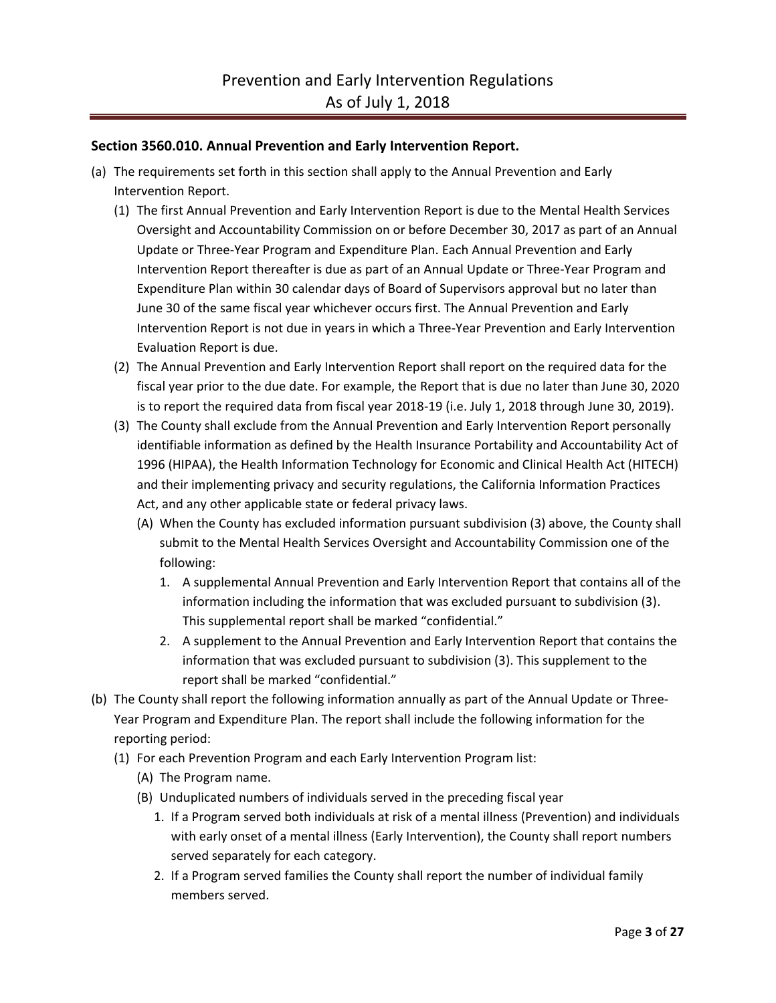## **Section 3560.010. Annual Prevention and Early Intervention Report.**

- (a) The requirements set forth in this section shall apply to the Annual Prevention and Early Intervention Report.
	- (1) The first Annual Prevention and Early Intervention Report is due to the Mental Health Services Oversight and Accountability Commission on or before December 30, 2017 as part of an Annual Update or Three-Year Program and Expenditure Plan. Each Annual Prevention and Early Intervention Report thereafter is due as part of an Annual Update or Three-Year Program and Expenditure Plan within 30 calendar days of Board of Supervisors approval but no later than June 30 of the same fiscal year whichever occurs first. The Annual Prevention and Early Intervention Report is not due in years in which a Three-Year Prevention and Early Intervention Evaluation Report is due.
	- (2) The Annual Prevention and Early Intervention Report shall report on the required data for the fiscal year prior to the due date. For example, the Report that is due no later than June 30, 2020 is to report the required data from fiscal year 2018-19 (i.e. July 1, 2018 through June 30, 2019).
	- (3) The County shall exclude from the Annual Prevention and Early Intervention Report personally identifiable information as defined by the Health Insurance Portability and Accountability Act of 1996 (HIPAA), the Health Information Technology for Economic and Clinical Health Act (HITECH) and their implementing privacy and security regulations, the California Information Practices Act, and any other applicable state or federal privacy laws.
		- (A) When the County has excluded information pursuant subdivision (3) above, the County shall submit to the Mental Health Services Oversight and Accountability Commission one of the following:
			- 1. A supplemental Annual Prevention and Early Intervention Report that contains all of the information including the information that was excluded pursuant to subdivision (3). This supplemental report shall be marked "confidential."
			- 2. A supplement to the Annual Prevention and Early Intervention Report that contains the information that was excluded pursuant to subdivision (3). This supplement to the report shall be marked "confidential."
- (b) The County shall report the following information annually as part of the Annual Update or Three-Year Program and Expenditure Plan. The report shall include the following information for the reporting period:
	- (1) For each Prevention Program and each Early Intervention Program list:
		- (A) The Program name.
		- (B) Unduplicated numbers of individuals served in the preceding fiscal year
			- 1. If a Program served both individuals at risk of a mental illness (Prevention) and individuals with early onset of a mental illness (Early Intervention), the County shall report numbers served separately for each category.
			- 2. If a Program served families the County shall report the number of individual family members served.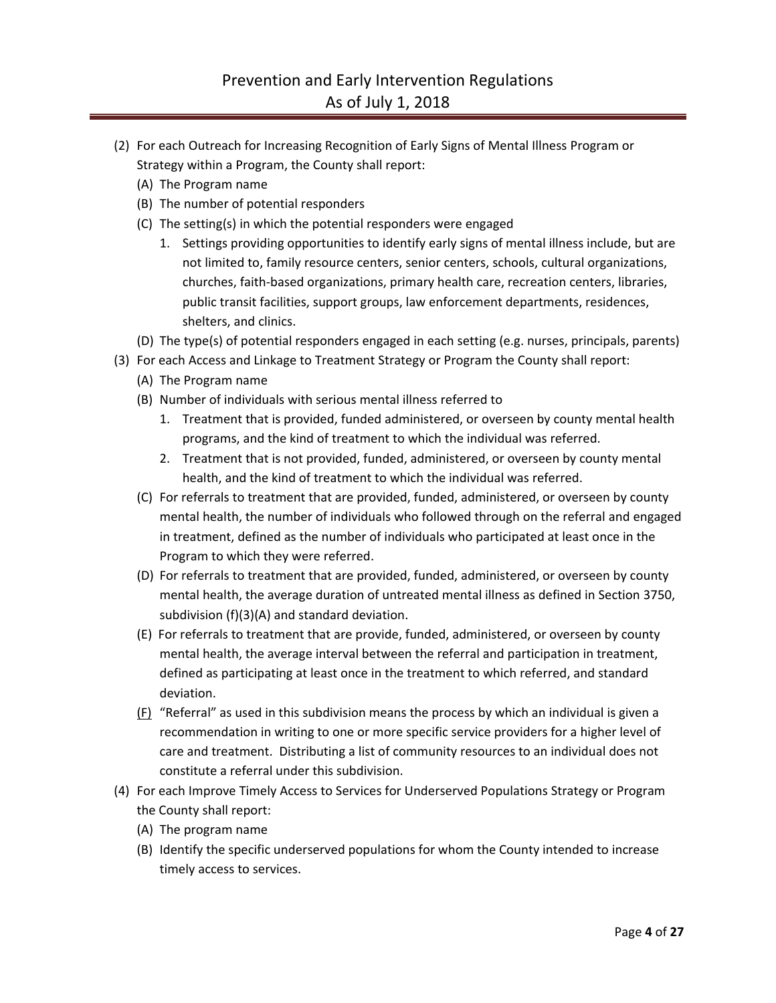- (2) For each Outreach for Increasing Recognition of Early Signs of Mental Illness Program or Strategy within a Program, the County shall report:
	- (A) The Program name
	- (B) The number of potential responders
	- (C) The setting(s) in which the potential responders were engaged
		- 1. Settings providing opportunities to identify early signs of mental illness include, but are not limited to, family resource centers, senior centers, schools, cultural organizations, churches, faith-based organizations, primary health care, recreation centers, libraries, public transit facilities, support groups, law enforcement departments, residences, shelters, and clinics.
	- (D) The type(s) of potential responders engaged in each setting (e.g. nurses, principals, parents)
- (3) For each Access and Linkage to Treatment Strategy or Program the County shall report:
	- (A) The Program name
	- (B) Number of individuals with serious mental illness referred to
		- 1. Treatment that is provided, funded administered, or overseen by county mental health programs, and the kind of treatment to which the individual was referred.
		- 2. Treatment that is not provided, funded, administered, or overseen by county mental health, and the kind of treatment to which the individual was referred.
	- (C) For referrals to treatment that are provided, funded, administered, or overseen by county mental health, the number of individuals who followed through on the referral and engaged in treatment, defined as the number of individuals who participated at least once in the Program to which they were referred.
	- (D) For referrals to treatment that are provided, funded, administered, or overseen by county mental health, the average duration of untreated mental illness as defined in Section 3750, subdivision (f)(3)(A) and standard deviation.
	- (E) For referrals to treatment that are provide, funded, administered, or overseen by county mental health, the average interval between the referral and participation in treatment, defined as participating at least once in the treatment to which referred, and standard deviation.
	- (F) "Referral" as used in this subdivision means the process by which an individual is given a recommendation in writing to one or more specific service providers for a higher level of care and treatment. Distributing a list of community resources to an individual does not constitute a referral under this subdivision.
- (4) For each Improve Timely Access to Services for Underserved Populations Strategy or Program the County shall report:
	- (A) The program name
	- (B) Identify the specific underserved populations for whom the County intended to increase timely access to services.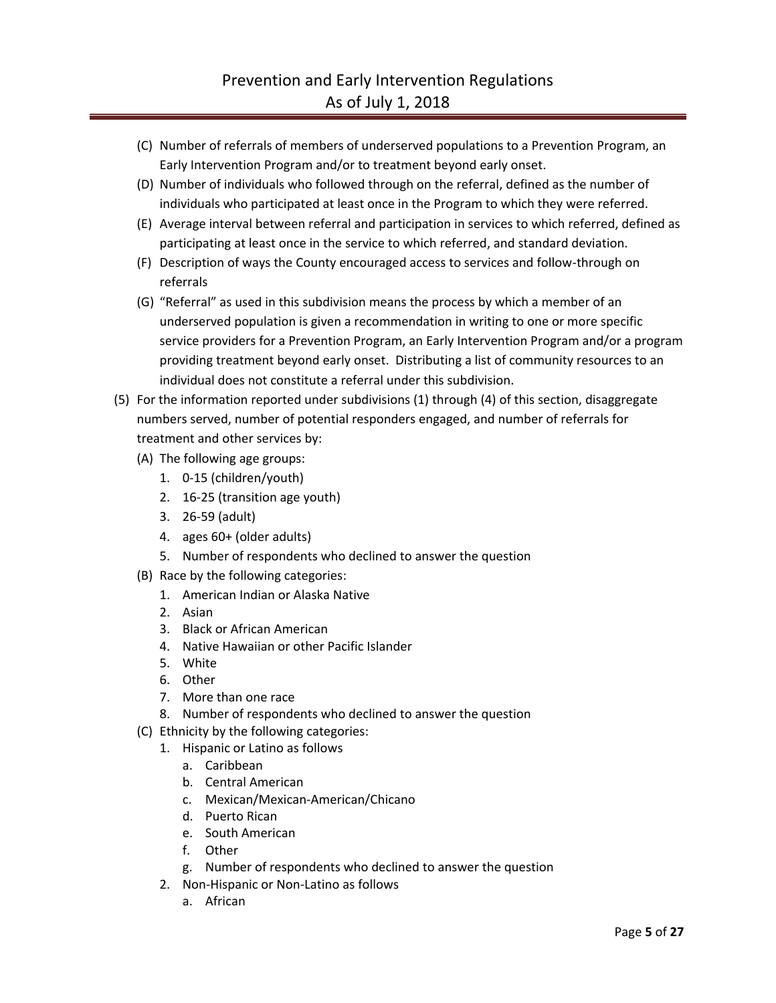- (C) Number of referrals of members of underserved populations to a Prevention Program, an Early Intervention Program and/or to treatment beyond early onset.
- (D) Number of individuals who followed through on the referral, defined as the number of individuals who participated at least once in the Program to which they were referred.
- (E) Average interval between referral and participation in services to which referred, defined as participating at least once in the service to which referred, and standard deviation.
- (F) Description of ways the County encouraged access to services and follow-through on referrals
- (G) "Referral" as used in this subdivision means the process by which a member of an underserved population is given a recommendation in writing to one or more specific service providers for a Prevention Program, an Early Intervention Program and/or a program providing treatment beyond early onset. Distributing a list of community resources to an individual does not constitute a referral under this subdivision.
- (5) For the information reported under subdivisions (1) through (4) of this section, disaggregate numbers served, number of potential responders engaged, and number of referrals for treatment and other services by:
	- (A) The following age groups:
		- 1. 0-15 (children/youth)
		- 2. 16-25 (transition age youth)
		- 3. 26-59 (adult)
		- 4. ages 60+ (older adults)
		- 5. Number of respondents who declined to answer the question
	- (B) Race by the following categories:
		- 1. American Indian or Alaska Native
		- 2. Asian
		- 3. Black or African American
		- 4. Native Hawaiian or other Pacific Islander
		- 5. White
		- 6. Other
		- 7. More than one race
		- 8. Number of respondents who declined to answer the question
	- (C) Ethnicity by the following categories:
		- 1. Hispanic or Latino as follows
			- a. Caribbean
			- b. Central American
			- c. Mexican/Mexican-American/Chicano
			- d. Puerto Rican
			- e. South American
			- f. Other
			- g. Number of respondents who declined to answer the question
		- 2. Non-Hispanic or Non-Latino as follows
			- a. African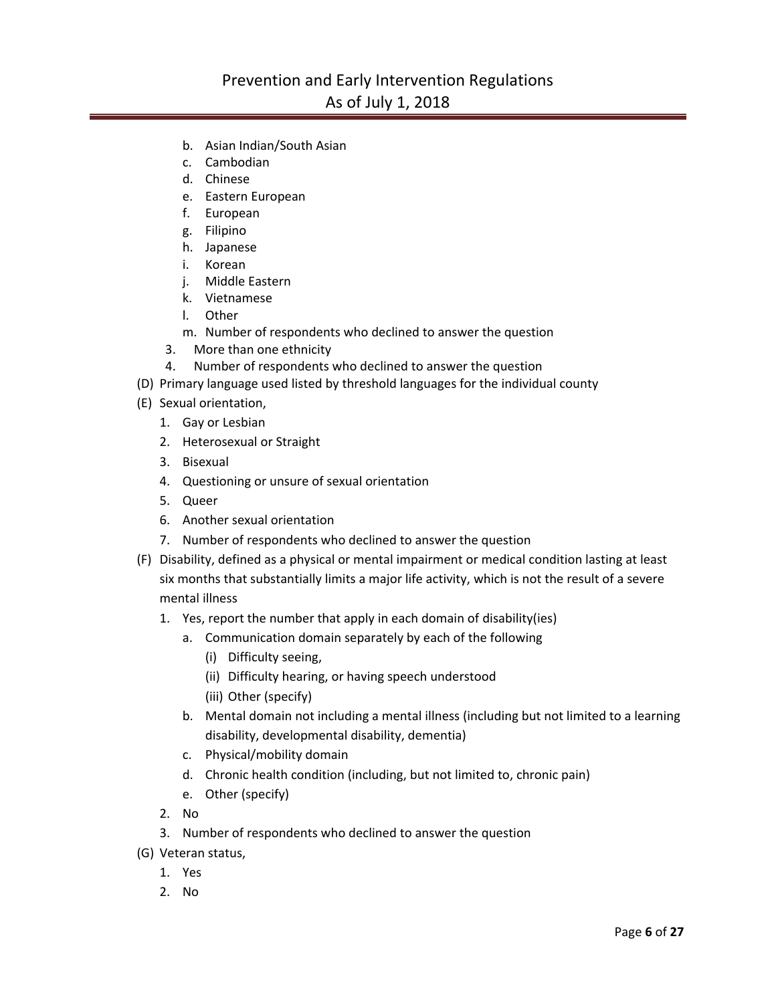# Prevention and Early Intervention Regulations As of July 1, 2018

- b. Asian Indian/South Asian
- c. Cambodian
- d. Chinese
- e. Eastern European
- f. European
- g. Filipino
- h. Japanese
- i. Korean
- j. Middle Eastern
- k. Vietnamese
- l. Other
- m. Number of respondents who declined to answer the question
- 3. More than one ethnicity
- 4. Number of respondents who declined to answer the question
- (D) Primary language used listed by threshold languages for the individual county
- (E) Sexual orientation,
	- 1. Gay or Lesbian
	- 2. Heterosexual or Straight
	- 3. Bisexual
	- 4. Questioning or unsure of sexual orientation
	- 5. Queer
	- 6. Another sexual orientation
	- 7. Number of respondents who declined to answer the question
- (F) Disability, defined as a physical or mental impairment or medical condition lasting at least six months that substantially limits a major life activity, which is not the result of a severe mental illness
	- 1. Yes, report the number that apply in each domain of disability(ies)
		- a. Communication domain separately by each of the following
			- (i) Difficulty seeing,
			- (ii) Difficulty hearing, or having speech understood
			- (iii) Other (specify)
		- b. Mental domain not including a mental illness (including but not limited to a learning disability, developmental disability, dementia)
		- c. Physical/mobility domain
		- d. Chronic health condition (including, but not limited to, chronic pain)
		- e. Other (specify)
	- 2. No
	- 3. Number of respondents who declined to answer the question
- (G) Veteran status,
	- 1. Yes
	- 2. No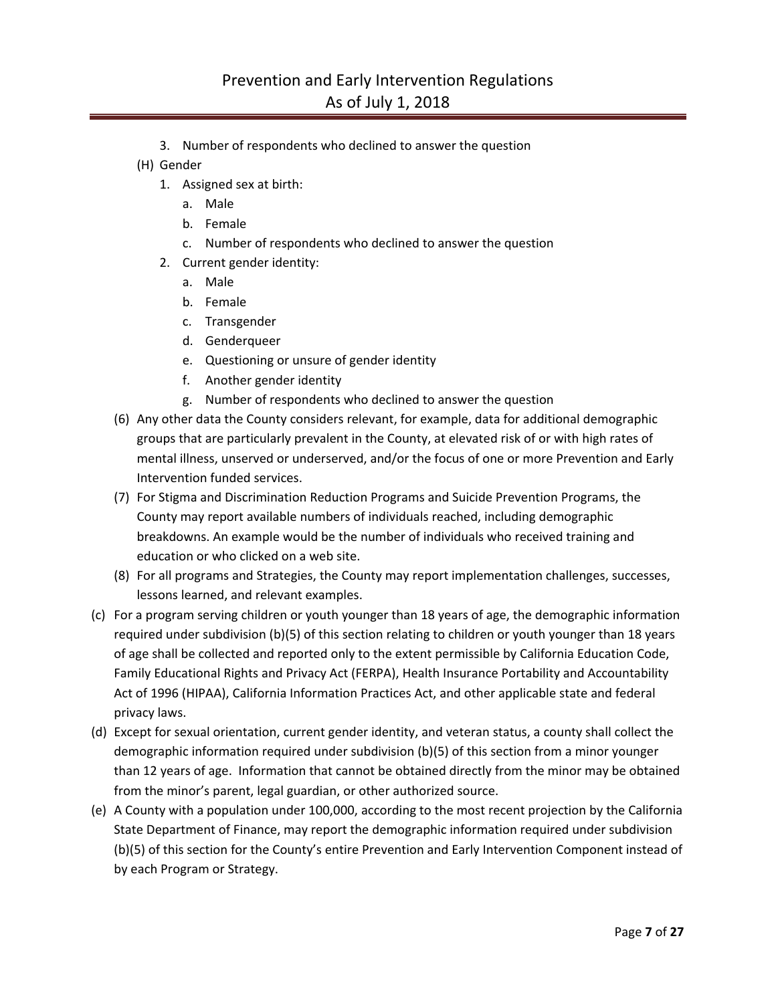- 3. Number of respondents who declined to answer the question
- (H) Gender
	- 1. Assigned sex at birth:
		- a. Male
		- b. Female
		- c. Number of respondents who declined to answer the question
	- 2. Current gender identity:
		- a. Male
		- b. Female
		- c. Transgender
		- d. Genderqueer
		- e. Questioning or unsure of gender identity
		- f. Another gender identity
		- g. Number of respondents who declined to answer the question
- (6) Any other data the County considers relevant, for example, data for additional demographic groups that are particularly prevalent in the County, at elevated risk of or with high rates of mental illness, unserved or underserved, and/or the focus of one or more Prevention and Early Intervention funded services.
- (7) For Stigma and Discrimination Reduction Programs and Suicide Prevention Programs, the County may report available numbers of individuals reached, including demographic breakdowns. An example would be the number of individuals who received training and education or who clicked on a web site.
- (8) For all programs and Strategies, the County may report implementation challenges, successes, lessons learned, and relevant examples.
- (c) For a program serving children or youth younger than 18 years of age, the demographic information required under subdivision (b)(5) of this section relating to children or youth younger than 18 years of age shall be collected and reported only to the extent permissible by California Education Code, Family Educational Rights and Privacy Act (FERPA), Health Insurance Portability and Accountability Act of 1996 (HIPAA), California Information Practices Act, and other applicable state and federal privacy laws.
- (d) Except for sexual orientation, current gender identity, and veteran status, a county shall collect the demographic information required under subdivision (b)(5) of this section from a minor younger than 12 years of age. Information that cannot be obtained directly from the minor may be obtained from the minor's parent, legal guardian, or other authorized source.
- (e) A County with a population under 100,000, according to the most recent projection by the California State Department of Finance, may report the demographic information required under subdivision (b)(5) of this section for the County's entire Prevention and Early Intervention Component instead of by each Program or Strategy.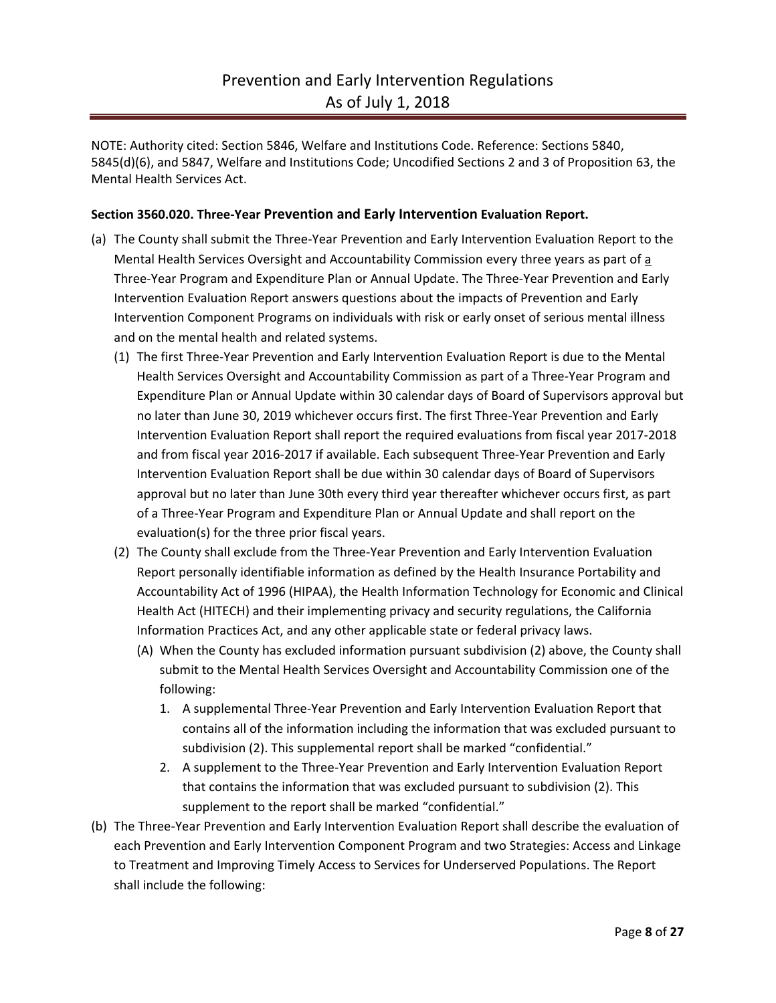NOTE: Authority cited: Section 5846, Welfare and Institutions Code. Reference: Sections 5840, 5845(d)(6), and 5847, Welfare and Institutions Code; Uncodified Sections 2 and 3 of Proposition 63, the Mental Health Services Act.

### **Section 3560.020. Three-Year Prevention and Early Intervention Evaluation Report.**

- (a) The County shall submit the Three-Year Prevention and Early Intervention Evaluation Report to the Mental Health Services Oversight and Accountability Commission every three years as part of a Three-Year Program and Expenditure Plan or Annual Update. The Three-Year Prevention and Early Intervention Evaluation Report answers questions about the impacts of Prevention and Early Intervention Component Programs on individuals with risk or early onset of serious mental illness and on the mental health and related systems.
	- (1) The first Three-Year Prevention and Early Intervention Evaluation Report is due to the Mental Health Services Oversight and Accountability Commission as part of a Three-Year Program and Expenditure Plan or Annual Update within 30 calendar days of Board of Supervisors approval but no later than June 30, 2019 whichever occurs first. The first Three-Year Prevention and Early Intervention Evaluation Report shall report the required evaluations from fiscal year 2017-2018 and from fiscal year 2016-2017 if available. Each subsequent Three-Year Prevention and Early Intervention Evaluation Report shall be due within 30 calendar days of Board of Supervisors approval but no later than June 30th every third year thereafter whichever occurs first, as part of a Three-Year Program and Expenditure Plan or Annual Update and shall report on the evaluation(s) for the three prior fiscal years.
	- (2) The County shall exclude from the Three-Year Prevention and Early Intervention Evaluation Report personally identifiable information as defined by the Health Insurance Portability and Accountability Act of 1996 (HIPAA), the Health Information Technology for Economic and Clinical Health Act (HITECH) and their implementing privacy and security regulations, the California Information Practices Act, and any other applicable state or federal privacy laws.
		- (A) When the County has excluded information pursuant subdivision (2) above, the County shall submit to the Mental Health Services Oversight and Accountability Commission one of the following:
			- 1. A supplemental Three-Year Prevention and Early Intervention Evaluation Report that contains all of the information including the information that was excluded pursuant to subdivision (2). This supplemental report shall be marked "confidential."
			- 2. A supplement to the Three-Year Prevention and Early Intervention Evaluation Report that contains the information that was excluded pursuant to subdivision (2). This supplement to the report shall be marked "confidential."
- (b) The Three-Year Prevention and Early Intervention Evaluation Report shall describe the evaluation of each Prevention and Early Intervention Component Program and two Strategies: Access and Linkage to Treatment and Improving Timely Access to Services for Underserved Populations. The Report shall include the following: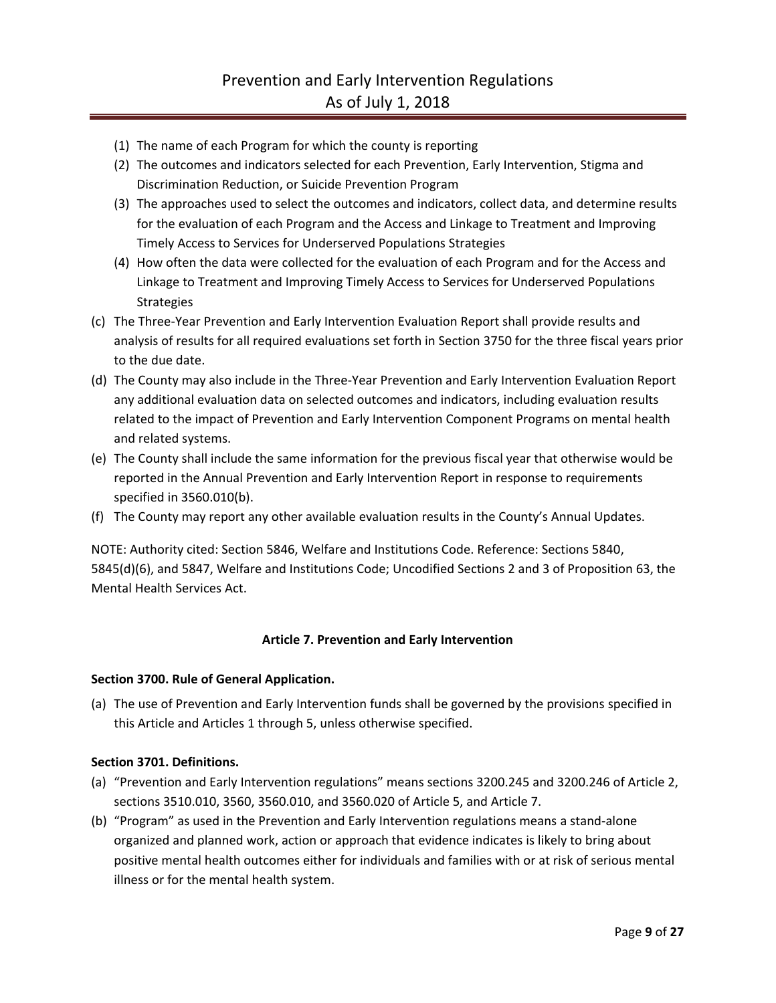- (1) The name of each Program for which the county is reporting
- (2) The outcomes and indicators selected for each Prevention, Early Intervention, Stigma and Discrimination Reduction, or Suicide Prevention Program
- (3) The approaches used to select the outcomes and indicators, collect data, and determine results for the evaluation of each Program and the Access and Linkage to Treatment and Improving Timely Access to Services for Underserved Populations Strategies
- (4) How often the data were collected for the evaluation of each Program and for the Access and Linkage to Treatment and Improving Timely Access to Services for Underserved Populations Strategies
- (c) The Three-Year Prevention and Early Intervention Evaluation Report shall provide results and analysis of results for all required evaluations set forth in Section 3750 for the three fiscal years prior to the due date.
- (d) The County may also include in the Three-Year Prevention and Early Intervention Evaluation Report any additional evaluation data on selected outcomes and indicators, including evaluation results related to the impact of Prevention and Early Intervention Component Programs on mental health and related systems.
- (e) The County shall include the same information for the previous fiscal year that otherwise would be reported in the Annual Prevention and Early Intervention Report in response to requirements specified in 3560.010(b).
- (f) The County may report any other available evaluation results in the County's Annual Updates.

NOTE: Authority cited: Section 5846, Welfare and Institutions Code. Reference: Sections 5840, 5845(d)(6), and 5847, Welfare and Institutions Code; Uncodified Sections 2 and 3 of Proposition 63, the Mental Health Services Act.

### **Article 7. Prevention and Early Intervention**

### **Section 3700. Rule of General Application.**

(a) The use of Prevention and Early Intervention funds shall be governed by the provisions specified in this Article and Articles 1 through 5, unless otherwise specified.

### **Section 3701. Definitions.**

- (a) "Prevention and Early Intervention regulations" means sections 3200.245 and 3200.246 of Article 2, sections 3510.010, 3560, 3560.010, and 3560.020 of Article 5, and Article 7.
- (b) "Program" as used in the Prevention and Early Intervention regulations means a stand-alone organized and planned work, action or approach that evidence indicates is likely to bring about positive mental health outcomes either for individuals and families with or at risk of serious mental illness or for the mental health system.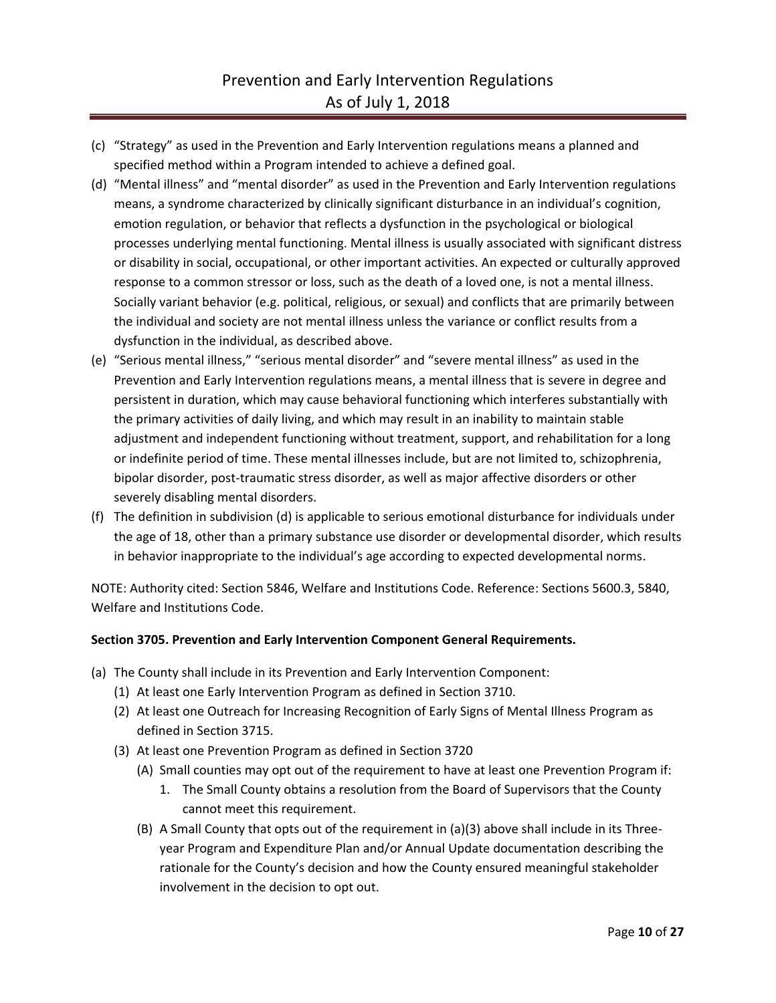- (c) "Strategy" as used in the Prevention and Early Intervention regulations means a planned and specified method within a Program intended to achieve a defined goal.
- (d) "Mental illness" and "mental disorder" as used in the Prevention and Early Intervention regulations means, a syndrome characterized by clinically significant disturbance in an individual's cognition, emotion regulation, or behavior that reflects a dysfunction in the psychological or biological processes underlying mental functioning. Mental illness is usually associated with significant distress or disability in social, occupational, or other important activities. An expected or culturally approved response to a common stressor or loss, such as the death of a loved one, is not a mental illness. Socially variant behavior (e.g. political, religious, or sexual) and conflicts that are primarily between the individual and society are not mental illness unless the variance or conflict results from a dysfunction in the individual, as described above.
- (e) "Serious mental illness," "serious mental disorder" and "severe mental illness" as used in the Prevention and Early Intervention regulations means, a mental illness that is severe in degree and persistent in duration, which may cause behavioral functioning which interferes substantially with the primary activities of daily living, and which may result in an inability to maintain stable adjustment and independent functioning without treatment, support, and rehabilitation for a long or indefinite period of time. These mental illnesses include, but are not limited to, schizophrenia, bipolar disorder, post-traumatic stress disorder, as well as major affective disorders or other severely disabling mental disorders.
- (f) The definition in subdivision (d) is applicable to serious emotional disturbance for individuals under the age of 18, other than a primary substance use disorder or developmental disorder, which results in behavior inappropriate to the individual's age according to expected developmental norms.

NOTE: Authority cited: Section 5846, Welfare and Institutions Code. Reference: Sections 5600.3, 5840, Welfare and Institutions Code.

### **Section 3705. Prevention and Early Intervention Component General Requirements.**

- (a) The County shall include in its Prevention and Early Intervention Component:
	- (1) At least one Early Intervention Program as defined in Section 3710.
	- (2) At least one Outreach for Increasing Recognition of Early Signs of Mental Illness Program as defined in Section 3715.
	- (3) At least one Prevention Program as defined in Section 3720
		- (A) Small counties may opt out of the requirement to have at least one Prevention Program if:
			- 1. The Small County obtains a resolution from the Board of Supervisors that the County cannot meet this requirement.
		- (B) A Small County that opts out of the requirement in (a)(3) above shall include in its Threeyear Program and Expenditure Plan and/or Annual Update documentation describing the rationale for the County's decision and how the County ensured meaningful stakeholder involvement in the decision to opt out.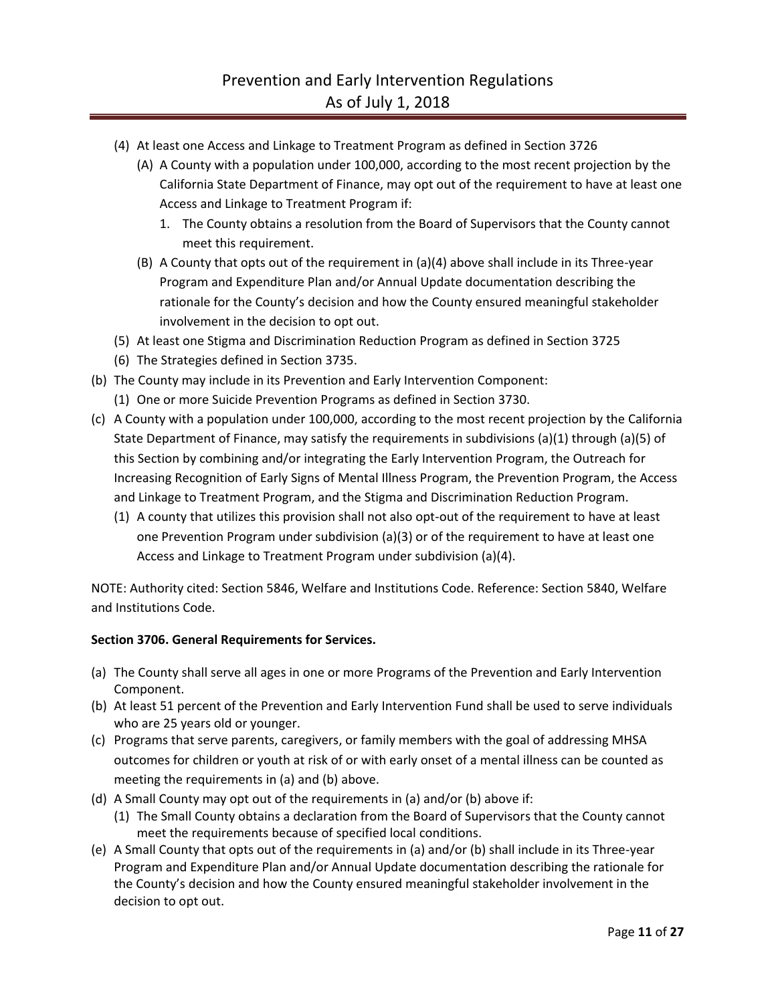- (4) At least one Access and Linkage to Treatment Program as defined in Section 3726
	- (A) A County with a population under 100,000, according to the most recent projection by the California State Department of Finance, may opt out of the requirement to have at least one Access and Linkage to Treatment Program if:
		- 1. The County obtains a resolution from the Board of Supervisors that the County cannot meet this requirement.
	- (B) A County that opts out of the requirement in (a)(4) above shall include in its Three-year Program and Expenditure Plan and/or Annual Update documentation describing the rationale for the County's decision and how the County ensured meaningful stakeholder involvement in the decision to opt out.
- (5) At least one Stigma and Discrimination Reduction Program as defined in Section 3725
- (6) The Strategies defined in Section 3735.
- (b) The County may include in its Prevention and Early Intervention Component:
	- (1) One or more Suicide Prevention Programs as defined in Section 3730.
- (c) A County with a population under 100,000, according to the most recent projection by the California State Department of Finance, may satisfy the requirements in subdivisions (a)(1) through (a)(5) of this Section by combining and/or integrating the Early Intervention Program, the Outreach for Increasing Recognition of Early Signs of Mental Illness Program, the Prevention Program, the Access and Linkage to Treatment Program, and the Stigma and Discrimination Reduction Program.
	- (1) A county that utilizes this provision shall not also opt-out of the requirement to have at least one Prevention Program under subdivision (a)(3) or of the requirement to have at least one Access and Linkage to Treatment Program under subdivision (a)(4).

NOTE: Authority cited: Section 5846, Welfare and Institutions Code. Reference: Section 5840, Welfare and Institutions Code.

### **Section 3706. General Requirements for Services.**

- (a) The County shall serve all ages in one or more Programs of the Prevention and Early Intervention Component.
- (b) At least 51 percent of the Prevention and Early Intervention Fund shall be used to serve individuals who are 25 years old or younger.
- (c) Programs that serve parents, caregivers, or family members with the goal of addressing MHSA outcomes for children or youth at risk of or with early onset of a mental illness can be counted as meeting the requirements in (a) and (b) above.
- (d) A Small County may opt out of the requirements in (a) and/or (b) above if:
	- (1) The Small County obtains a declaration from the Board of Supervisors that the County cannot meet the requirements because of specified local conditions.
- (e) A Small County that opts out of the requirements in (a) and/or (b) shall include in its Three-year Program and Expenditure Plan and/or Annual Update documentation describing the rationale for the County's decision and how the County ensured meaningful stakeholder involvement in the decision to opt out.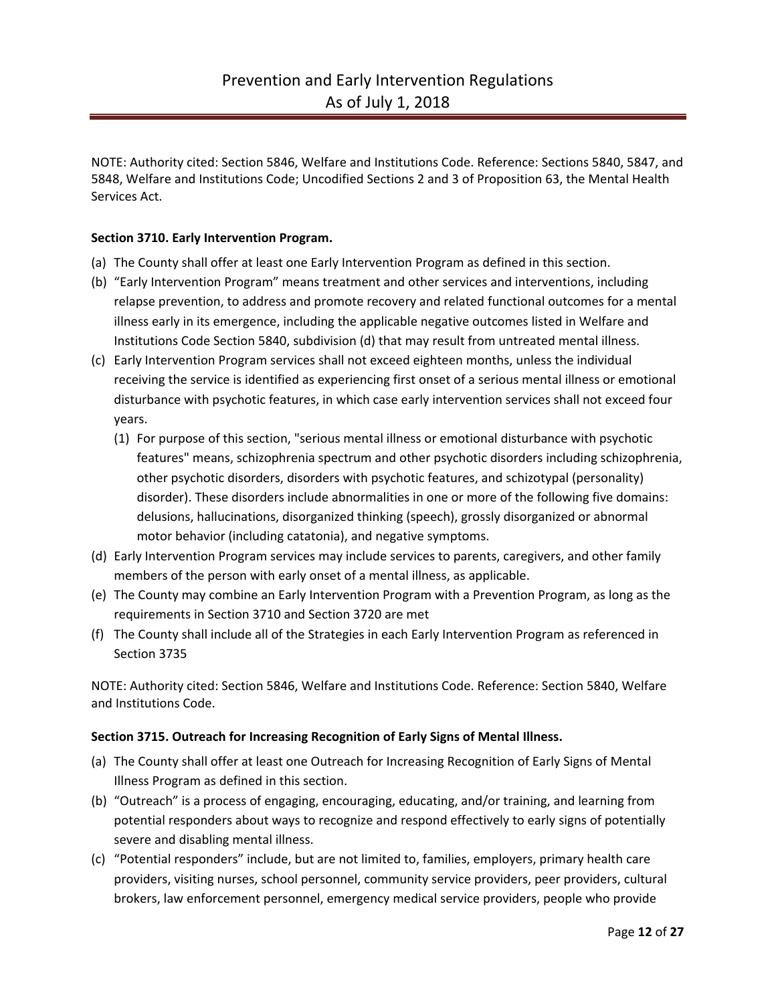NOTE: Authority cited: Section 5846, Welfare and Institutions Code. Reference: Sections 5840, 5847, and 5848, Welfare and Institutions Code; Uncodified Sections 2 and 3 of Proposition 63, the Mental Health Services Act.

## **Section 3710. Early Intervention Program.**

- (a) The County shall offer at least one Early Intervention Program as defined in this section.
- (b) "Early Intervention Program" means treatment and other services and interventions, including relapse prevention, to address and promote recovery and related functional outcomes for a mental illness early in its emergence, including the applicable negative outcomes listed in Welfare and Institutions Code Section 5840, subdivision (d) that may result from untreated mental illness.
- (c) Early Intervention Program services shall not exceed eighteen months, unless the individual receiving the service is identified as experiencing first onset of a serious mental illness or emotional disturbance with psychotic features, in which case early intervention services shall not exceed four years.
	- (1) For purpose of this section, "serious mental illness or emotional disturbance with psychotic features" means, schizophrenia spectrum and other psychotic disorders including schizophrenia, other psychotic disorders, disorders with psychotic features, and schizotypal (personality) disorder). These disorders include abnormalities in one or more of the following five domains: delusions, hallucinations, disorganized thinking (speech), grossly disorganized or abnormal motor behavior (including catatonia), and negative symptoms.
- (d) Early Intervention Program services may include services to parents, caregivers, and other family members of the person with early onset of a mental illness, as applicable.
- (e) The County may combine an Early Intervention Program with a Prevention Program, as long as the requirements in Section 3710 and Section 3720 are met
- (f) The County shall include all of the Strategies in each Early Intervention Program as referenced in Section 3735

NOTE: Authority cited: Section 5846, Welfare and Institutions Code. Reference: Section 5840, Welfare and Institutions Code.

### **Section 3715. Outreach for Increasing Recognition of Early Signs of Mental Illness.**

- (a) The County shall offer at least one Outreach for Increasing Recognition of Early Signs of Mental Illness Program as defined in this section.
- (b) "Outreach" is a process of engaging, encouraging, educating, and/or training, and learning from potential responders about ways to recognize and respond effectively to early signs of potentially severe and disabling mental illness.
- (c) "Potential responders" include, but are not limited to, families, employers, primary health care providers, visiting nurses, school personnel, community service providers, peer providers, cultural brokers, law enforcement personnel, emergency medical service providers, people who provide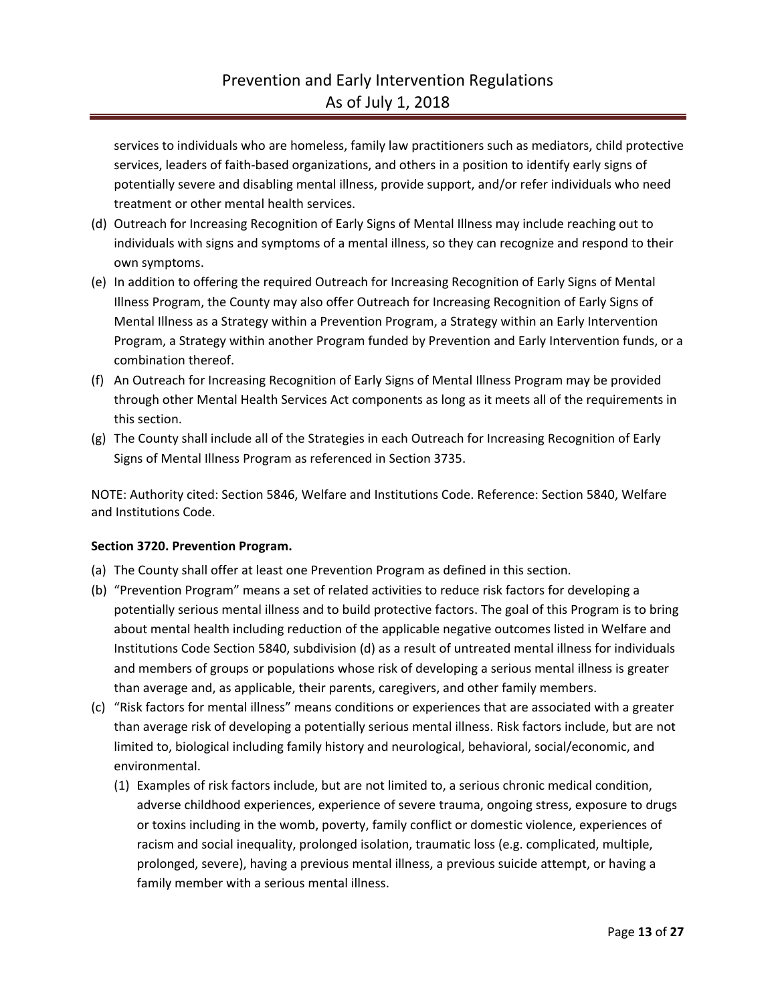services to individuals who are homeless, family law practitioners such as mediators, child protective services, leaders of faith-based organizations, and others in a position to identify early signs of potentially severe and disabling mental illness, provide support, and/or refer individuals who need treatment or other mental health services.

- (d) Outreach for Increasing Recognition of Early Signs of Mental Illness may include reaching out to individuals with signs and symptoms of a mental illness, so they can recognize and respond to their own symptoms.
- (e) In addition to offering the required Outreach for Increasing Recognition of Early Signs of Mental Illness Program, the County may also offer Outreach for Increasing Recognition of Early Signs of Mental Illness as a Strategy within a Prevention Program, a Strategy within an Early Intervention Program, a Strategy within another Program funded by Prevention and Early Intervention funds, or a combination thereof.
- (f) An Outreach for Increasing Recognition of Early Signs of Mental Illness Program may be provided through other Mental Health Services Act components as long as it meets all of the requirements in this section.
- (g) The County shall include all of the Strategies in each Outreach for Increasing Recognition of Early Signs of Mental Illness Program as referenced in Section 3735.

NOTE: Authority cited: Section 5846, Welfare and Institutions Code. Reference: Section 5840, Welfare and Institutions Code.

### **Section 3720. Prevention Program.**

- (a) The County shall offer at least one Prevention Program as defined in this section.
- (b) "Prevention Program" means a set of related activities to reduce risk factors for developing a potentially serious mental illness and to build protective factors. The goal of this Program is to bring about mental health including reduction of the applicable negative outcomes listed in Welfare and Institutions Code Section 5840, subdivision (d) as a result of untreated mental illness for individuals and members of groups or populations whose risk of developing a serious mental illness is greater than average and, as applicable, their parents, caregivers, and other family members.
- (c) "Risk factors for mental illness" means conditions or experiences that are associated with a greater than average risk of developing a potentially serious mental illness. Risk factors include, but are not limited to, biological including family history and neurological, behavioral, social/economic, and environmental.
	- (1) Examples of risk factors include, but are not limited to, a serious chronic medical condition, adverse childhood experiences, experience of severe trauma, ongoing stress, exposure to drugs or toxins including in the womb, poverty, family conflict or domestic violence, experiences of racism and social inequality, prolonged isolation, traumatic loss (e.g. complicated, multiple, prolonged, severe), having a previous mental illness, a previous suicide attempt, or having a family member with a serious mental illness.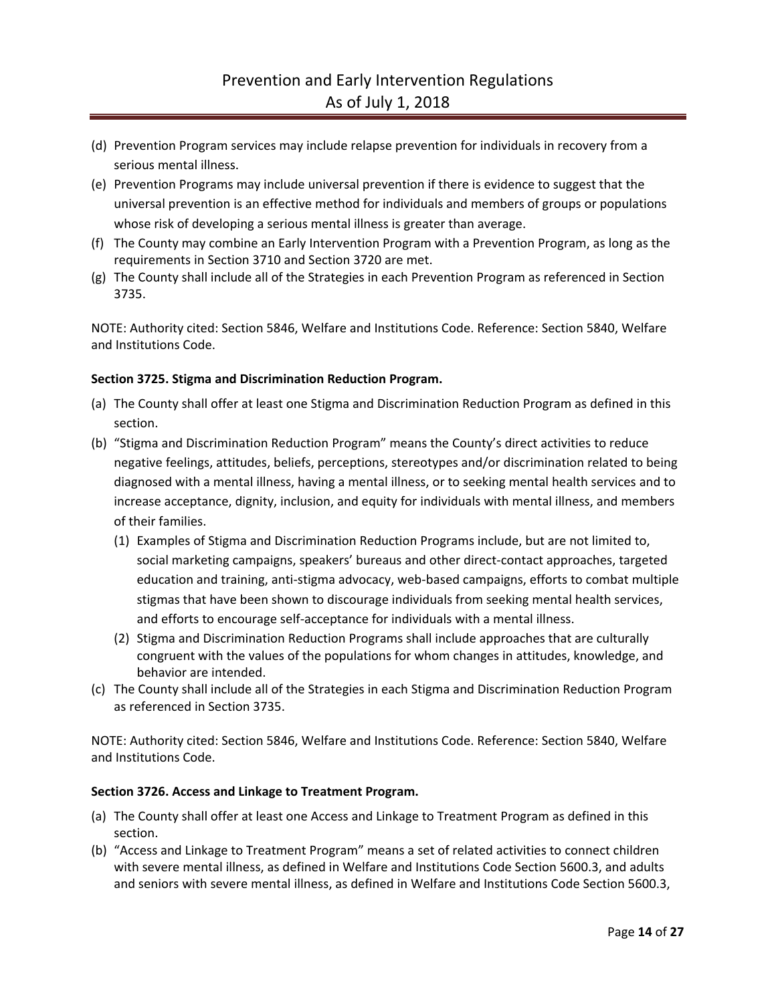- (d) Prevention Program services may include relapse prevention for individuals in recovery from a serious mental illness.
- (e) Prevention Programs may include universal prevention if there is evidence to suggest that the universal prevention is an effective method for individuals and members of groups or populations whose risk of developing a serious mental illness is greater than average.
- (f) The County may combine an Early Intervention Program with a Prevention Program, as long as the requirements in Section 3710 and Section 3720 are met.
- (g) The County shall include all of the Strategies in each Prevention Program as referenced in Section 3735.

NOTE: Authority cited: Section 5846, Welfare and Institutions Code. Reference: Section 5840, Welfare and Institutions Code.

### **Section 3725. Stigma and Discrimination Reduction Program.**

- (a) The County shall offer at least one Stigma and Discrimination Reduction Program as defined in this section.
- (b) "Stigma and Discrimination Reduction Program" means the County's direct activities to reduce negative feelings, attitudes, beliefs, perceptions, stereotypes and/or discrimination related to being diagnosed with a mental illness, having a mental illness, or to seeking mental health services and to increase acceptance, dignity, inclusion, and equity for individuals with mental illness, and members of their families.
	- (1) Examples of Stigma and Discrimination Reduction Programs include, but are not limited to, social marketing campaigns, speakers' bureaus and other direct-contact approaches, targeted education and training, anti-stigma advocacy, web-based campaigns, efforts to combat multiple stigmas that have been shown to discourage individuals from seeking mental health services, and efforts to encourage self-acceptance for individuals with a mental illness.
	- (2) Stigma and Discrimination Reduction Programs shall include approaches that are culturally congruent with the values of the populations for whom changes in attitudes, knowledge, and behavior are intended.
- (c) The County shall include all of the Strategies in each Stigma and Discrimination Reduction Program as referenced in Section 3735.

NOTE: Authority cited: Section 5846, Welfare and Institutions Code. Reference: Section 5840, Welfare and Institutions Code.

### **Section 3726. Access and Linkage to Treatment Program.**

- (a) The County shall offer at least one Access and Linkage to Treatment Program as defined in this section.
- (b) "Access and Linkage to Treatment Program" means a set of related activities to connect children with severe mental illness, as defined in Welfare and Institutions Code Section 5600.3, and adults and seniors with severe mental illness, as defined in Welfare and Institutions Code Section 5600.3,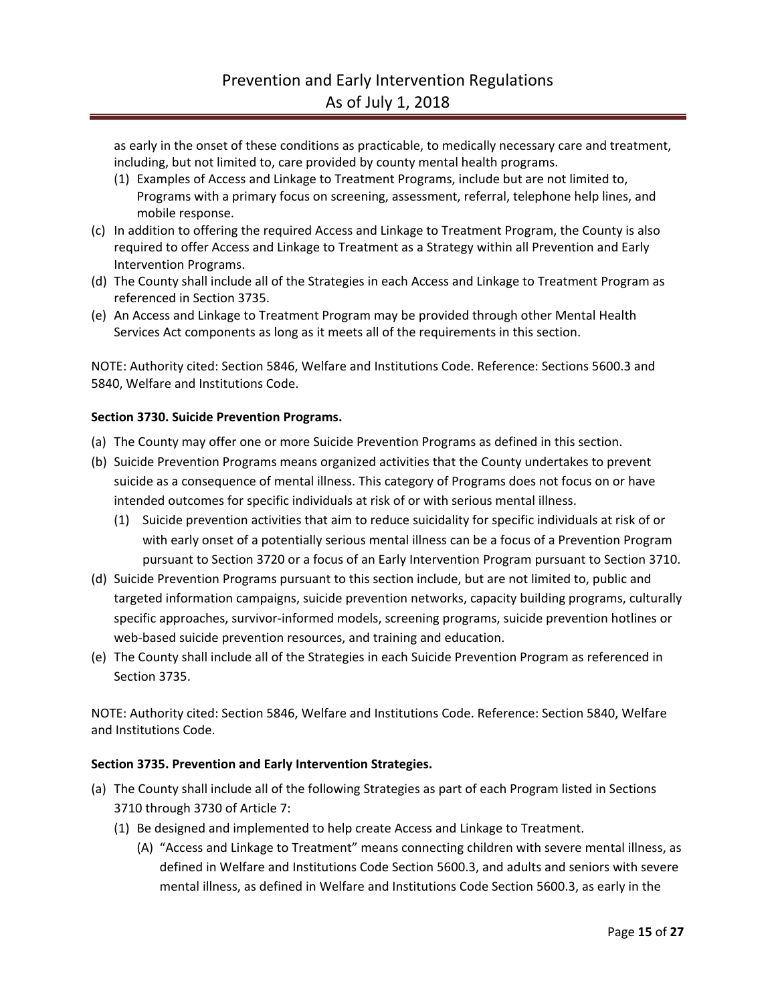as early in the onset of these conditions as practicable, to medically necessary care and treatment, including, but not limited to, care provided by county mental health programs.

- (1) Examples of Access and Linkage to Treatment Programs, include but are not limited to, Programs with a primary focus on screening, assessment, referral, telephone help lines, and mobile response.
- (c) In addition to offering the required Access and Linkage to Treatment Program, the County is also required to offer Access and Linkage to Treatment as a Strategy within all Prevention and Early Intervention Programs.
- (d) The County shall include all of the Strategies in each Access and Linkage to Treatment Program as referenced in Section 3735.
- (e) An Access and Linkage to Treatment Program may be provided through other Mental Health Services Act components as long as it meets all of the requirements in this section.

NOTE: Authority cited: Section 5846, Welfare and Institutions Code. Reference: Sections 5600.3 and 5840, Welfare and Institutions Code.

### **Section 3730. Suicide Prevention Programs.**

- (a) The County may offer one or more Suicide Prevention Programs as defined in this section.
- (b) Suicide Prevention Programs means organized activities that the County undertakes to prevent suicide as a consequence of mental illness. This category of Programs does not focus on or have intended outcomes for specific individuals at risk of or with serious mental illness.
	- (1) Suicide prevention activities that aim to reduce suicidality for specific individuals at risk of or with early onset of a potentially serious mental illness can be a focus of a Prevention Program pursuant to Section 3720 or a focus of an Early Intervention Program pursuant to Section 3710.
- (d) Suicide Prevention Programs pursuant to this section include, but are not limited to, public and targeted information campaigns, suicide prevention networks, capacity building programs, culturally specific approaches, survivor-informed models, screening programs, suicide prevention hotlines or web-based suicide prevention resources, and training and education.
- (e) The County shall include all of the Strategies in each Suicide Prevention Program as referenced in Section 3735.

NOTE: Authority cited: Section 5846, Welfare and Institutions Code. Reference: Section 5840, Welfare and Institutions Code.

### **Section 3735. Prevention and Early Intervention Strategies.**

- (a) The County shall include all of the following Strategies as part of each Program listed in Sections 3710 through 3730 of Article 7:
	- (1) Be designed and implemented to help create Access and Linkage to Treatment.
		- (A) "Access and Linkage to Treatment" means connecting children with severe mental illness, as defined in Welfare and Institutions Code Section 5600.3, and adults and seniors with severe mental illness, as defined in Welfare and Institutions Code Section 5600.3, as early in the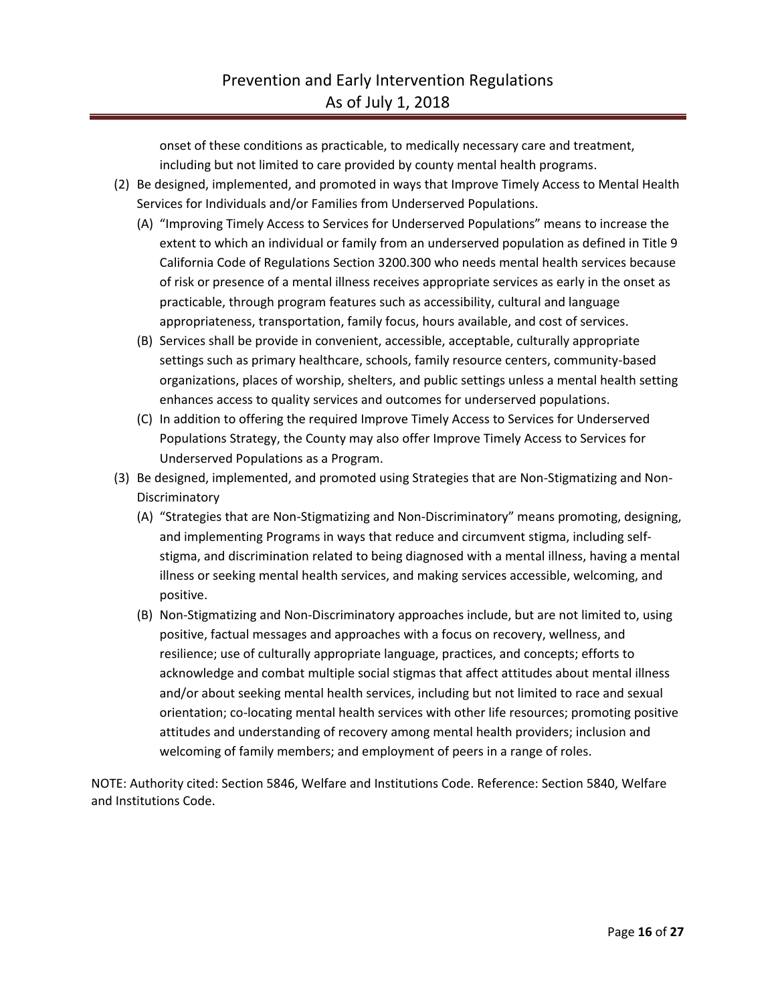onset of these conditions as practicable, to medically necessary care and treatment, including but not limited to care provided by county mental health programs.

- (2) Be designed, implemented, and promoted in ways that Improve Timely Access to Mental Health Services for Individuals and/or Families from Underserved Populations.
	- (A) "Improving Timely Access to Services for Underserved Populations" means to increase the extent to which an individual or family from an underserved population as defined in Title 9 California Code of Regulations Section 3200.300 who needs mental health services because of risk or presence of a mental illness receives appropriate services as early in the onset as practicable, through program features such as accessibility, cultural and language appropriateness, transportation, family focus, hours available, and cost of services.
	- (B) Services shall be provide in convenient, accessible, acceptable, culturally appropriate settings such as primary healthcare, schools, family resource centers, community-based organizations, places of worship, shelters, and public settings unless a mental health setting enhances access to quality services and outcomes for underserved populations.
	- (C) In addition to offering the required Improve Timely Access to Services for Underserved Populations Strategy, the County may also offer Improve Timely Access to Services for Underserved Populations as a Program.
- (3) Be designed, implemented, and promoted using Strategies that are Non-Stigmatizing and Non-Discriminatory
	- (A) "Strategies that are Non-Stigmatizing and Non-Discriminatory" means promoting, designing, and implementing Programs in ways that reduce and circumvent stigma, including selfstigma, and discrimination related to being diagnosed with a mental illness, having a mental illness or seeking mental health services, and making services accessible, welcoming, and positive.
	- (B) Non-Stigmatizing and Non-Discriminatory approaches include, but are not limited to, using positive, factual messages and approaches with a focus on recovery, wellness, and resilience; use of culturally appropriate language, practices, and concepts; efforts to acknowledge and combat multiple social stigmas that affect attitudes about mental illness and/or about seeking mental health services, including but not limited to race and sexual orientation; co-locating mental health services with other life resources; promoting positive attitudes and understanding of recovery among mental health providers; inclusion and welcoming of family members; and employment of peers in a range of roles.

NOTE: Authority cited: Section 5846, Welfare and Institutions Code. Reference: Section 5840, Welfare and Institutions Code.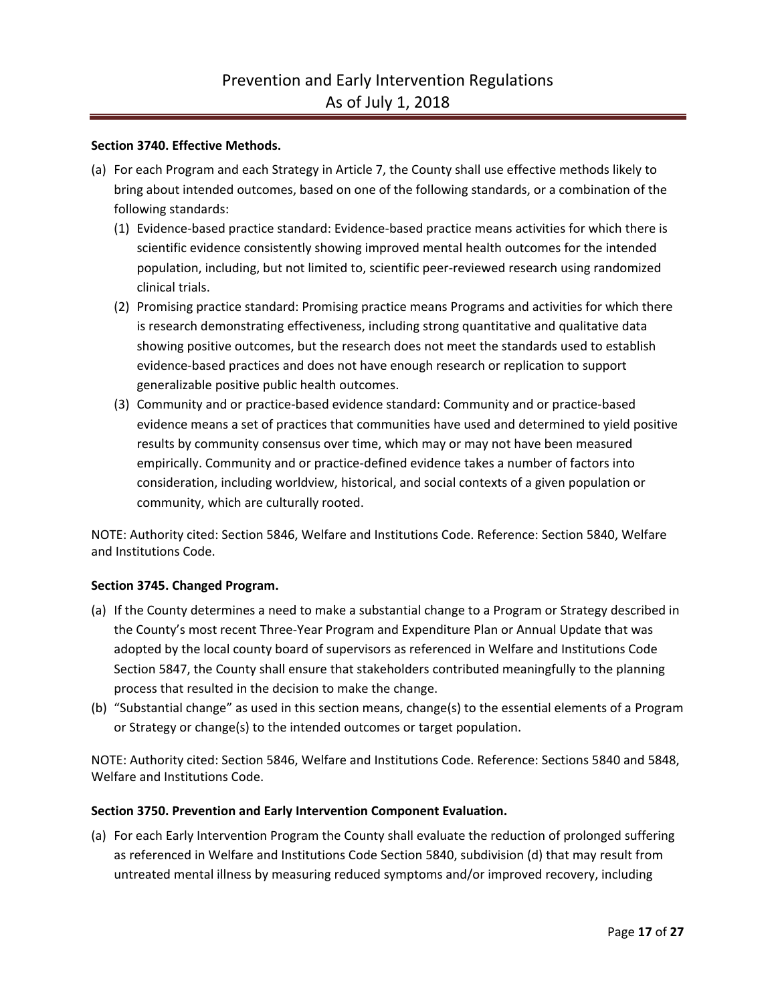### **Section 3740. Effective Methods.**

- (a) For each Program and each Strategy in Article 7, the County shall use effective methods likely to bring about intended outcomes, based on one of the following standards, or a combination of the following standards:
	- (1) Evidence-based practice standard: Evidence-based practice means activities for which there is scientific evidence consistently showing improved mental health outcomes for the intended population, including, but not limited to, scientific peer-reviewed research using randomized clinical trials.
	- (2) Promising practice standard: Promising practice means Programs and activities for which there is research demonstrating effectiveness, including strong quantitative and qualitative data showing positive outcomes, but the research does not meet the standards used to establish evidence-based practices and does not have enough research or replication to support generalizable positive public health outcomes.
	- (3) Community and or practice-based evidence standard: Community and or practice-based evidence means a set of practices that communities have used and determined to yield positive results by community consensus over time, which may or may not have been measured empirically. Community and or practice-defined evidence takes a number of factors into consideration, including worldview, historical, and social contexts of a given population or community, which are culturally rooted.

NOTE: Authority cited: Section 5846, Welfare and Institutions Code. Reference: Section 5840, Welfare and Institutions Code.

### **Section 3745. Changed Program.**

- (a) If the County determines a need to make a substantial change to a Program or Strategy described in the County's most recent Three-Year Program and Expenditure Plan or Annual Update that was adopted by the local county board of supervisors as referenced in Welfare and Institutions Code Section 5847, the County shall ensure that stakeholders contributed meaningfully to the planning process that resulted in the decision to make the change.
- (b) "Substantial change" as used in this section means, change(s) to the essential elements of a Program or Strategy or change(s) to the intended outcomes or target population.

NOTE: Authority cited: Section 5846, Welfare and Institutions Code. Reference: Sections 5840 and 5848, Welfare and Institutions Code.

### **Section 3750. Prevention and Early Intervention Component Evaluation.**

(a) For each Early Intervention Program the County shall evaluate the reduction of prolonged suffering as referenced in Welfare and Institutions Code Section 5840, subdivision (d) that may result from untreated mental illness by measuring reduced symptoms and/or improved recovery, including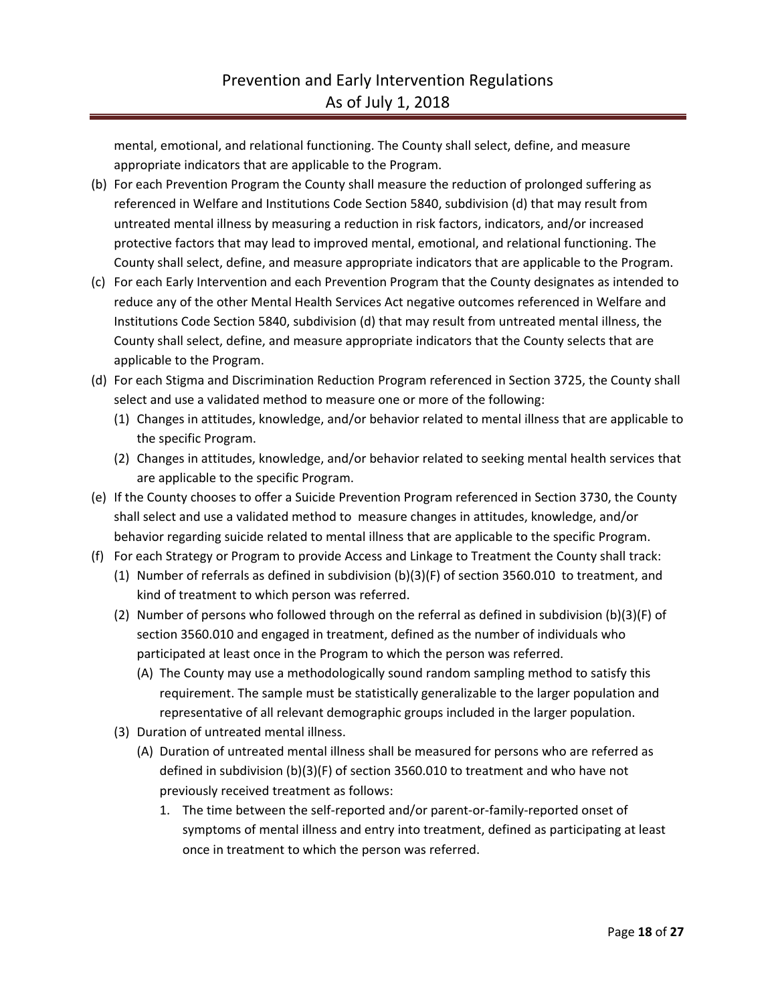mental, emotional, and relational functioning. The County shall select, define, and measure appropriate indicators that are applicable to the Program.

- (b) For each Prevention Program the County shall measure the reduction of prolonged suffering as referenced in Welfare and Institutions Code Section 5840, subdivision (d) that may result from untreated mental illness by measuring a reduction in risk factors, indicators, and/or increased protective factors that may lead to improved mental, emotional, and relational functioning. The County shall select, define, and measure appropriate indicators that are applicable to the Program.
- (c) For each Early Intervention and each Prevention Program that the County designates as intended to reduce any of the other Mental Health Services Act negative outcomes referenced in Welfare and Institutions Code Section 5840, subdivision (d) that may result from untreated mental illness, the County shall select, define, and measure appropriate indicators that the County selects that are applicable to the Program.
- (d) For each Stigma and Discrimination Reduction Program referenced in Section 3725, the County shall select and use a validated method to measure one or more of the following:
	- (1) Changes in attitudes, knowledge, and/or behavior related to mental illness that are applicable to the specific Program.
	- (2) Changes in attitudes, knowledge, and/or behavior related to seeking mental health services that are applicable to the specific Program.
- (e) If the County chooses to offer a Suicide Prevention Program referenced in Section 3730, the County shall select and use a validated method to measure changes in attitudes, knowledge, and/or behavior regarding suicide related to mental illness that are applicable to the specific Program.
- (f) For each Strategy or Program to provide Access and Linkage to Treatment the County shall track:
	- (1) Number of referrals as defined in subdivision (b)(3)(F) of section 3560.010 to treatment, and kind of treatment to which person was referred.
	- (2) Number of persons who followed through on the referral as defined in subdivision (b)(3)(F) of section 3560.010 and engaged in treatment, defined as the number of individuals who participated at least once in the Program to which the person was referred.
		- (A) The County may use a methodologically sound random sampling method to satisfy this requirement. The sample must be statistically generalizable to the larger population and representative of all relevant demographic groups included in the larger population.
	- (3) Duration of untreated mental illness.
		- (A) Duration of untreated mental illness shall be measured for persons who are referred as defined in subdivision (b)(3)(F) of section 3560.010 to treatment and who have not previously received treatment as follows:
			- 1. The time between the self-reported and/or parent-or-family-reported onset of symptoms of mental illness and entry into treatment, defined as participating at least once in treatment to which the person was referred.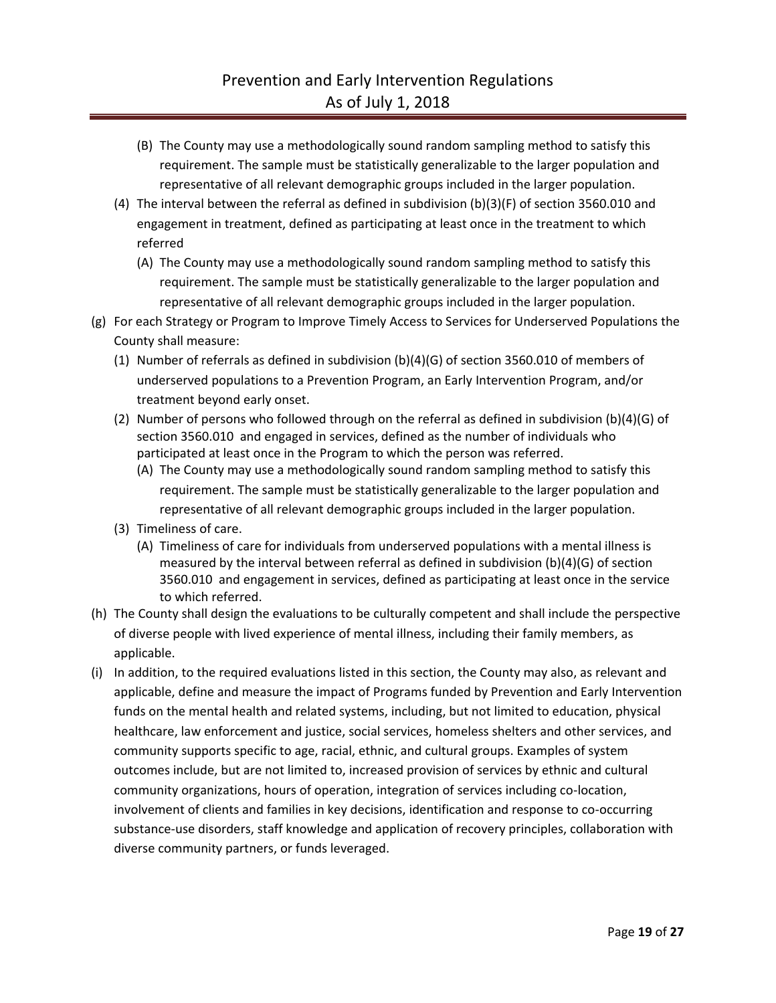- (B) The County may use a methodologically sound random sampling method to satisfy this requirement. The sample must be statistically generalizable to the larger population and representative of all relevant demographic groups included in the larger population.
- (4) The interval between the referral as defined in subdivision (b)(3)(F) of section 3560.010 and engagement in treatment, defined as participating at least once in the treatment to which referred
	- (A) The County may use a methodologically sound random sampling method to satisfy this requirement. The sample must be statistically generalizable to the larger population and representative of all relevant demographic groups included in the larger population.
- (g) For each Strategy or Program to Improve Timely Access to Services for Underserved Populations the County shall measure:
	- (1) Number of referrals as defined in subdivision (b)(4)(G) of section 3560.010 of members of underserved populations to a Prevention Program, an Early Intervention Program, and/or treatment beyond early onset.
	- (2) Number of persons who followed through on the referral as defined in subdivision (b)(4)(G) of section 3560.010 and engaged in services, defined as the number of individuals who participated at least once in the Program to which the person was referred.
		- (A) The County may use a methodologically sound random sampling method to satisfy this requirement. The sample must be statistically generalizable to the larger population and representative of all relevant demographic groups included in the larger population.
	- (3) Timeliness of care.
		- (A) Timeliness of care for individuals from underserved populations with a mental illness is measured by the interval between referral as defined in subdivision (b)(4)(G) of section 3560.010 and engagement in services, defined as participating at least once in the service to which referred.
- (h) The County shall design the evaluations to be culturally competent and shall include the perspective of diverse people with lived experience of mental illness, including their family members, as applicable.
- (i) In addition, to the required evaluations listed in this section, the County may also, as relevant and applicable, define and measure the impact of Programs funded by Prevention and Early Intervention funds on the mental health and related systems, including, but not limited to education, physical healthcare, law enforcement and justice, social services, homeless shelters and other services, and community supports specific to age, racial, ethnic, and cultural groups. Examples of system outcomes include, but are not limited to, increased provision of services by ethnic and cultural community organizations, hours of operation, integration of services including co-location, involvement of clients and families in key decisions, identification and response to co-occurring substance-use disorders, staff knowledge and application of recovery principles, collaboration with diverse community partners, or funds leveraged.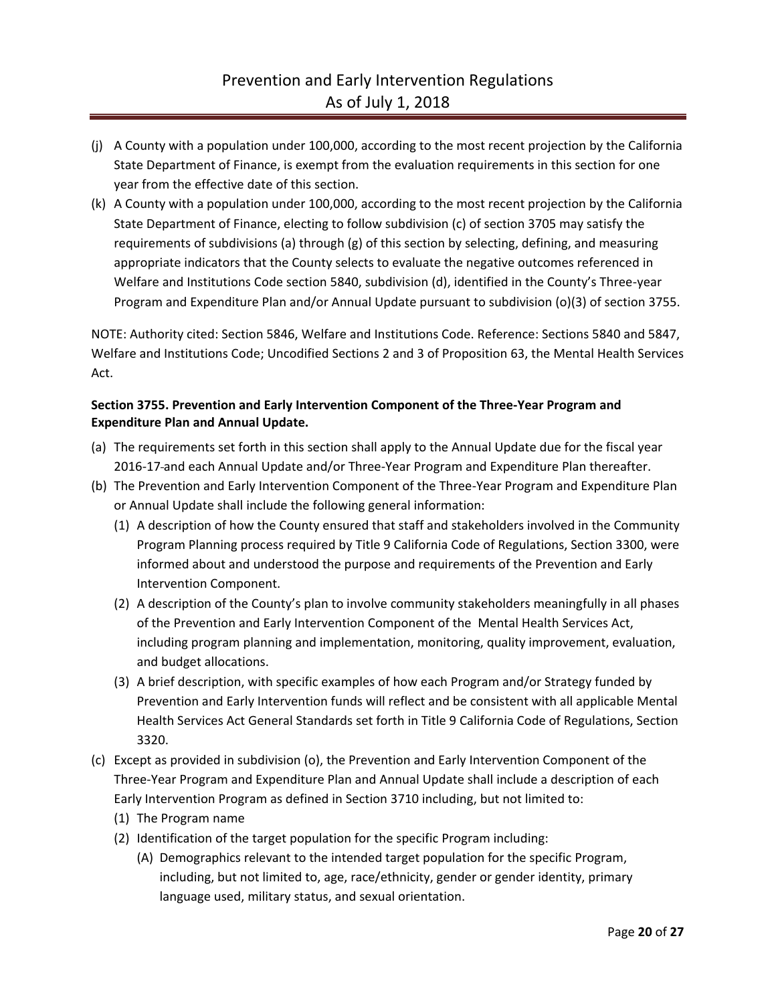- (j) A County with a population under 100,000, according to the most recent projection by the California State Department of Finance, is exempt from the evaluation requirements in this section for one year from the effective date of this section.
- (k) A County with a population under 100,000, according to the most recent projection by the California State Department of Finance, electing to follow subdivision (c) of section 3705 may satisfy the requirements of subdivisions (a) through (g) of this section by selecting, defining, and measuring appropriate indicators that the County selects to evaluate the negative outcomes referenced in Welfare and Institutions Code section 5840, subdivision (d), identified in the County's Three-year Program and Expenditure Plan and/or Annual Update pursuant to subdivision (o)(3) of section 3755.

NOTE: Authority cited: Section 5846, Welfare and Institutions Code. Reference: Sections 5840 and 5847, Welfare and Institutions Code; Uncodified Sections 2 and 3 of Proposition 63, the Mental Health Services Act.

## **Section 3755. Prevention and Early Intervention Component of the Three-Year Program and Expenditure Plan and Annual Update.**

- (a) The requirements set forth in this section shall apply to the Annual Update due for the fiscal year 2016-17 and each Annual Update and/or Three-Year Program and Expenditure Plan thereafter.
- (b) The Prevention and Early Intervention Component of the Three-Year Program and Expenditure Plan or Annual Update shall include the following general information:
	- (1) A description of how the County ensured that staff and stakeholders involved in the Community Program Planning process required by Title 9 California Code of Regulations, Section 3300, were informed about and understood the purpose and requirements of the Prevention and Early Intervention Component.
	- (2) A description of the County's plan to involve community stakeholders meaningfully in all phases of the Prevention and Early Intervention Component of the Mental Health Services Act, including program planning and implementation, monitoring, quality improvement, evaluation, and budget allocations.
	- (3) A brief description, with specific examples of how each Program and/or Strategy funded by Prevention and Early Intervention funds will reflect and be consistent with all applicable Mental Health Services Act General Standards set forth in Title 9 California Code of Regulations, Section 3320.
- (c) Except as provided in subdivision (o), the Prevention and Early Intervention Component of the Three-Year Program and Expenditure Plan and Annual Update shall include a description of each Early Intervention Program as defined in Section 3710 including, but not limited to:
	- (1) The Program name
	- (2) Identification of the target population for the specific Program including:
		- (A) Demographics relevant to the intended target population for the specific Program, including, but not limited to, age, race/ethnicity, gender or gender identity, primary language used, military status, and sexual orientation.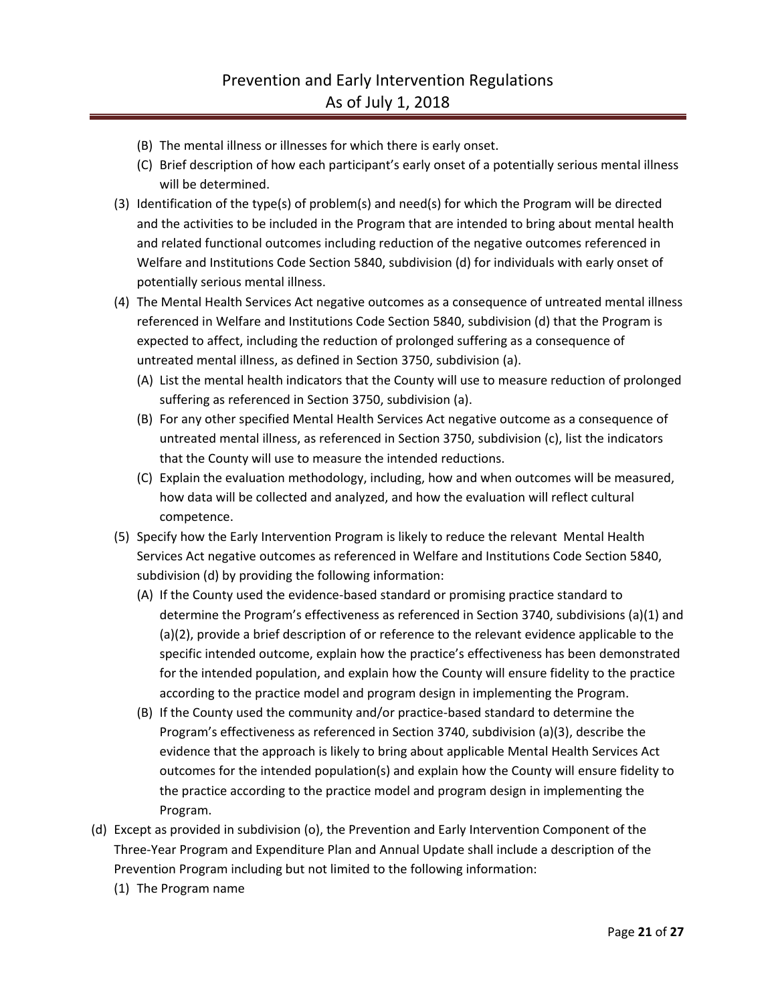- (B) The mental illness or illnesses for which there is early onset.
- (C) Brief description of how each participant's early onset of a potentially serious mental illness will be determined.
- (3) Identification of the type(s) of problem(s) and need(s) for which the Program will be directed and the activities to be included in the Program that are intended to bring about mental health and related functional outcomes including reduction of the negative outcomes referenced in Welfare and Institutions Code Section 5840, subdivision (d) for individuals with early onset of potentially serious mental illness.
- (4) The Mental Health Services Act negative outcomes as a consequence of untreated mental illness referenced in Welfare and Institutions Code Section 5840, subdivision (d) that the Program is expected to affect, including the reduction of prolonged suffering as a consequence of untreated mental illness, as defined in Section 3750, subdivision (a).
	- (A) List the mental health indicators that the County will use to measure reduction of prolonged suffering as referenced in Section 3750, subdivision (a).
	- (B) For any other specified Mental Health Services Act negative outcome as a consequence of untreated mental illness, as referenced in Section 3750, subdivision (c), list the indicators that the County will use to measure the intended reductions.
	- (C) Explain the evaluation methodology, including, how and when outcomes will be measured, how data will be collected and analyzed, and how the evaluation will reflect cultural competence.
- (5) Specify how the Early Intervention Program is likely to reduce the relevant Mental Health Services Act negative outcomes as referenced in Welfare and Institutions Code Section 5840, subdivision (d) by providing the following information:
	- (A) If the County used the evidence-based standard or promising practice standard to determine the Program's effectiveness as referenced in Section 3740, subdivisions (a)(1) and (a)(2), provide a brief description of or reference to the relevant evidence applicable to the specific intended outcome, explain how the practice's effectiveness has been demonstrated for the intended population, and explain how the County will ensure fidelity to the practice according to the practice model and program design in implementing the Program.
	- (B) If the County used the community and/or practice-based standard to determine the Program's effectiveness as referenced in Section 3740, subdivision (a)(3), describe the evidence that the approach is likely to bring about applicable Mental Health Services Act outcomes for the intended population(s) and explain how the County will ensure fidelity to the practice according to the practice model and program design in implementing the Program.
- (d) Except as provided in subdivision (o), the Prevention and Early Intervention Component of the Three-Year Program and Expenditure Plan and Annual Update shall include a description of the Prevention Program including but not limited to the following information:
	- (1) The Program name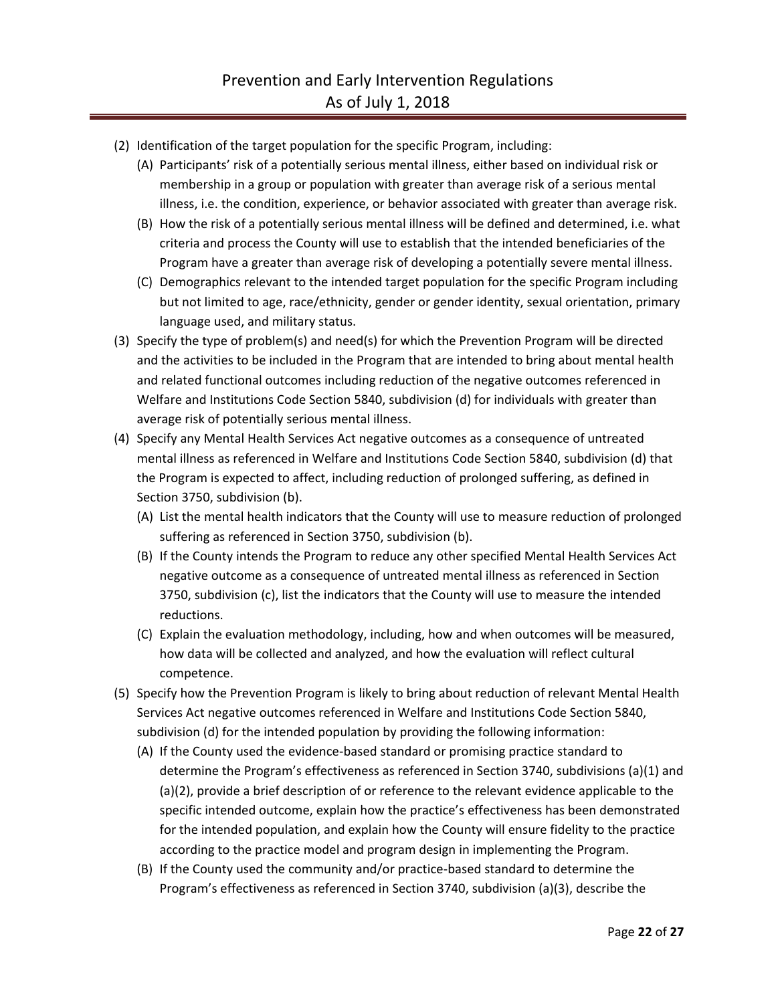- (2) Identification of the target population for the specific Program, including:
	- (A) Participants' risk of a potentially serious mental illness, either based on individual risk or membership in a group or population with greater than average risk of a serious mental illness, i.e. the condition, experience, or behavior associated with greater than average risk.
	- (B) How the risk of a potentially serious mental illness will be defined and determined, i.e. what criteria and process the County will use to establish that the intended beneficiaries of the Program have a greater than average risk of developing a potentially severe mental illness.
	- (C) Demographics relevant to the intended target population for the specific Program including but not limited to age, race/ethnicity, gender or gender identity, sexual orientation, primary language used, and military status.
- (3) Specify the type of problem(s) and need(s) for which the Prevention Program will be directed and the activities to be included in the Program that are intended to bring about mental health and related functional outcomes including reduction of the negative outcomes referenced in Welfare and Institutions Code Section 5840, subdivision (d) for individuals with greater than average risk of potentially serious mental illness.
- (4) Specify any Mental Health Services Act negative outcomes as a consequence of untreated mental illness as referenced in Welfare and Institutions Code Section 5840, subdivision (d) that the Program is expected to affect, including reduction of prolonged suffering, as defined in Section 3750, subdivision (b).
	- (A) List the mental health indicators that the County will use to measure reduction of prolonged suffering as referenced in Section 3750, subdivision (b).
	- (B) If the County intends the Program to reduce any other specified Mental Health Services Act negative outcome as a consequence of untreated mental illness as referenced in Section 3750, subdivision (c), list the indicators that the County will use to measure the intended reductions.
	- (C) Explain the evaluation methodology, including, how and when outcomes will be measured, how data will be collected and analyzed, and how the evaluation will reflect cultural competence.
- (5) Specify how the Prevention Program is likely to bring about reduction of relevant Mental Health Services Act negative outcomes referenced in Welfare and Institutions Code Section 5840, subdivision (d) for the intended population by providing the following information:
	- (A) If the County used the evidence-based standard or promising practice standard to determine the Program's effectiveness as referenced in Section 3740, subdivisions (a)(1) and (a)(2), provide a brief description of or reference to the relevant evidence applicable to the specific intended outcome, explain how the practice's effectiveness has been demonstrated for the intended population, and explain how the County will ensure fidelity to the practice according to the practice model and program design in implementing the Program.
	- (B) If the County used the community and/or practice-based standard to determine the Program's effectiveness as referenced in Section 3740, subdivision (a)(3), describe the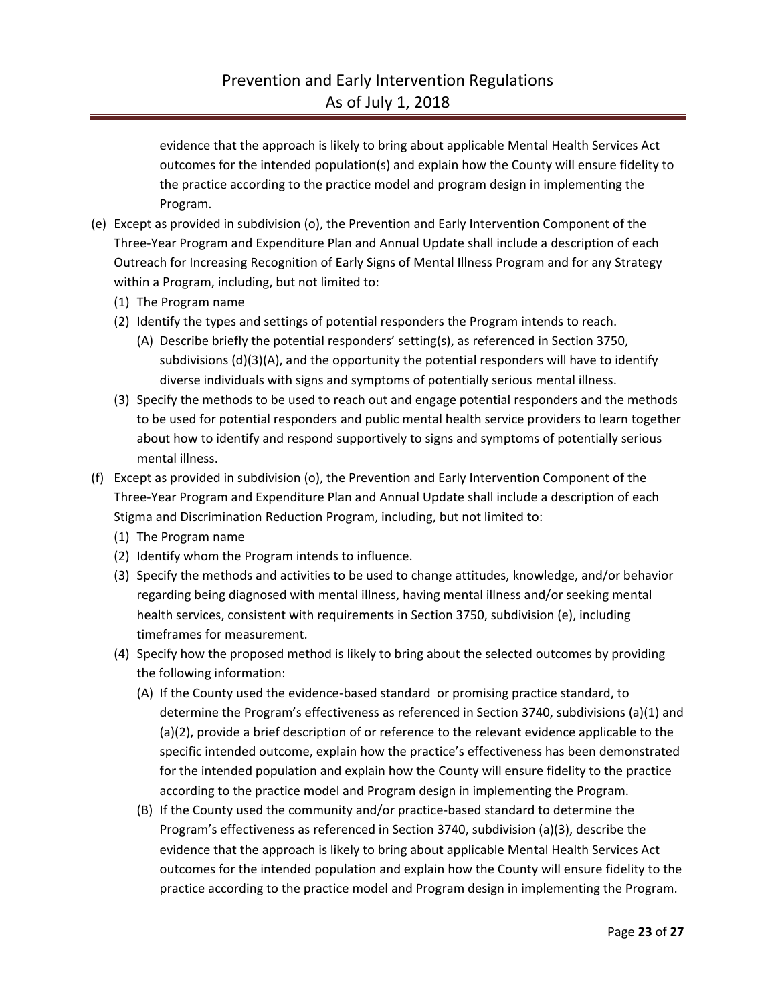evidence that the approach is likely to bring about applicable Mental Health Services Act outcomes for the intended population(s) and explain how the County will ensure fidelity to the practice according to the practice model and program design in implementing the Program.

- (e) Except as provided in subdivision (o), the Prevention and Early Intervention Component of the Three-Year Program and Expenditure Plan and Annual Update shall include a description of each Outreach for Increasing Recognition of Early Signs of Mental Illness Program and for any Strategy within a Program, including, but not limited to:
	- (1) The Program name
	- (2) Identify the types and settings of potential responders the Program intends to reach.
		- (A) Describe briefly the potential responders' setting(s), as referenced in Section 3750, subdivisions  $(d)(3)(A)$ , and the opportunity the potential responders will have to identify diverse individuals with signs and symptoms of potentially serious mental illness.
	- (3) Specify the methods to be used to reach out and engage potential responders and the methods to be used for potential responders and public mental health service providers to learn together about how to identify and respond supportively to signs and symptoms of potentially serious mental illness.
- (f) Except as provided in subdivision (o), the Prevention and Early Intervention Component of the Three-Year Program and Expenditure Plan and Annual Update shall include a description of each Stigma and Discrimination Reduction Program, including, but not limited to:
	- (1) The Program name
	- (2) Identify whom the Program intends to influence.
	- (3) Specify the methods and activities to be used to change attitudes, knowledge, and/or behavior regarding being diagnosed with mental illness, having mental illness and/or seeking mental health services, consistent with requirements in Section 3750, subdivision (e), including timeframes for measurement.
	- (4) Specify how the proposed method is likely to bring about the selected outcomes by providing the following information:
		- (A) If the County used the evidence-based standard or promising practice standard, to determine the Program's effectiveness as referenced in Section 3740, subdivisions (a)(1) and (a)(2), provide a brief description of or reference to the relevant evidence applicable to the specific intended outcome, explain how the practice's effectiveness has been demonstrated for the intended population and explain how the County will ensure fidelity to the practice according to the practice model and Program design in implementing the Program.
		- (B) If the County used the community and/or practice-based standard to determine the Program's effectiveness as referenced in Section 3740, subdivision (a)(3), describe the evidence that the approach is likely to bring about applicable Mental Health Services Act outcomes for the intended population and explain how the County will ensure fidelity to the practice according to the practice model and Program design in implementing the Program.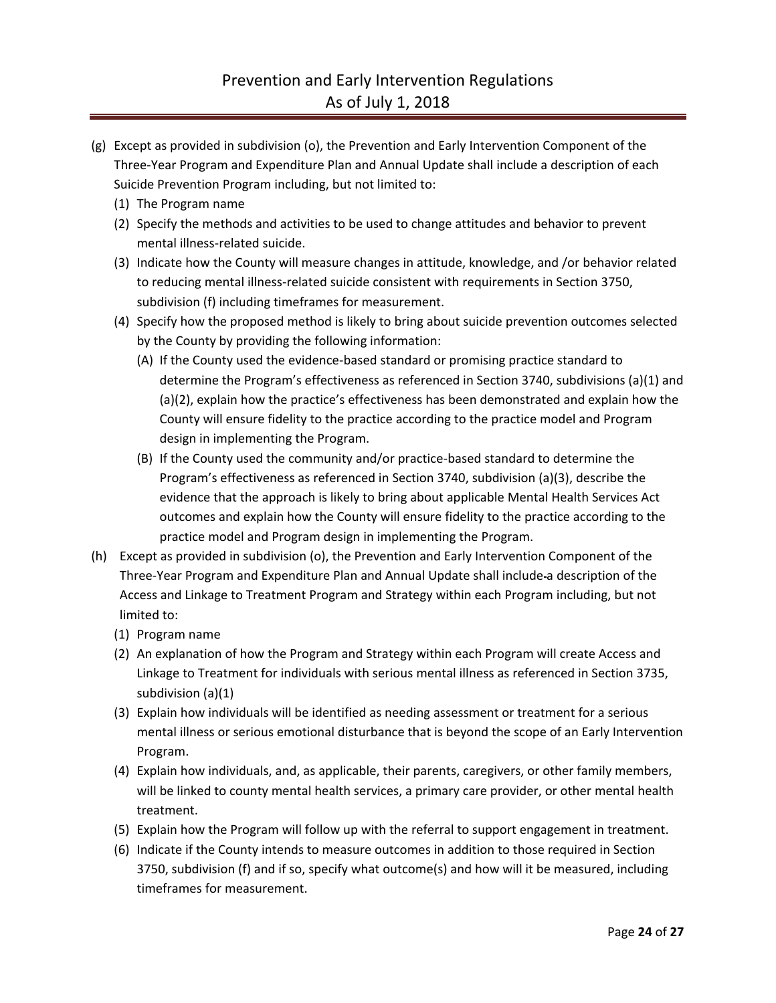- (g) Except as provided in subdivision (o), the Prevention and Early Intervention Component of the Three-Year Program and Expenditure Plan and Annual Update shall include a description of each Suicide Prevention Program including, but not limited to:
	- (1) The Program name
	- (2) Specify the methods and activities to be used to change attitudes and behavior to prevent mental illness-related suicide.
	- (3) Indicate how the County will measure changes in attitude, knowledge, and /or behavior related to reducing mental illness-related suicide consistent with requirements in Section 3750, subdivision (f) including timeframes for measurement.
	- (4) Specify how the proposed method is likely to bring about suicide prevention outcomes selected by the County by providing the following information:
		- (A) If the County used the evidence-based standard or promising practice standard to determine the Program's effectiveness as referenced in Section 3740, subdivisions (a)(1) and (a)(2), explain how the practice's effectiveness has been demonstrated and explain how the County will ensure fidelity to the practice according to the practice model and Program design in implementing the Program.
		- (B) If the County used the community and/or practice-based standard to determine the Program's effectiveness as referenced in Section 3740, subdivision (a)(3), describe the evidence that the approach is likely to bring about applicable Mental Health Services Act outcomes and explain how the County will ensure fidelity to the practice according to the practice model and Program design in implementing the Program.
- (h) Except as provided in subdivision (o), the Prevention and Early Intervention Component of the Three-Year Program and Expenditure Plan and Annual Update shall include a description of the Access and Linkage to Treatment Program and Strategy within each Program including, but not limited to:
	- (1) Program name
	- (2) An explanation of how the Program and Strategy within each Program will create Access and Linkage to Treatment for individuals with serious mental illness as referenced in Section 3735, subdivision (a)(1)
	- (3) Explain how individuals will be identified as needing assessment or treatment for a serious mental illness or serious emotional disturbance that is beyond the scope of an Early Intervention Program.
	- (4) Explain how individuals, and, as applicable, their parents, caregivers, or other family members, will be linked to county mental health services, a primary care provider, or other mental health treatment.
	- (5) Explain how the Program will follow up with the referral to support engagement in treatment.
	- (6) Indicate if the County intends to measure outcomes in addition to those required in Section 3750, subdivision (f) and if so, specify what outcome(s) and how will it be measured, including timeframes for measurement.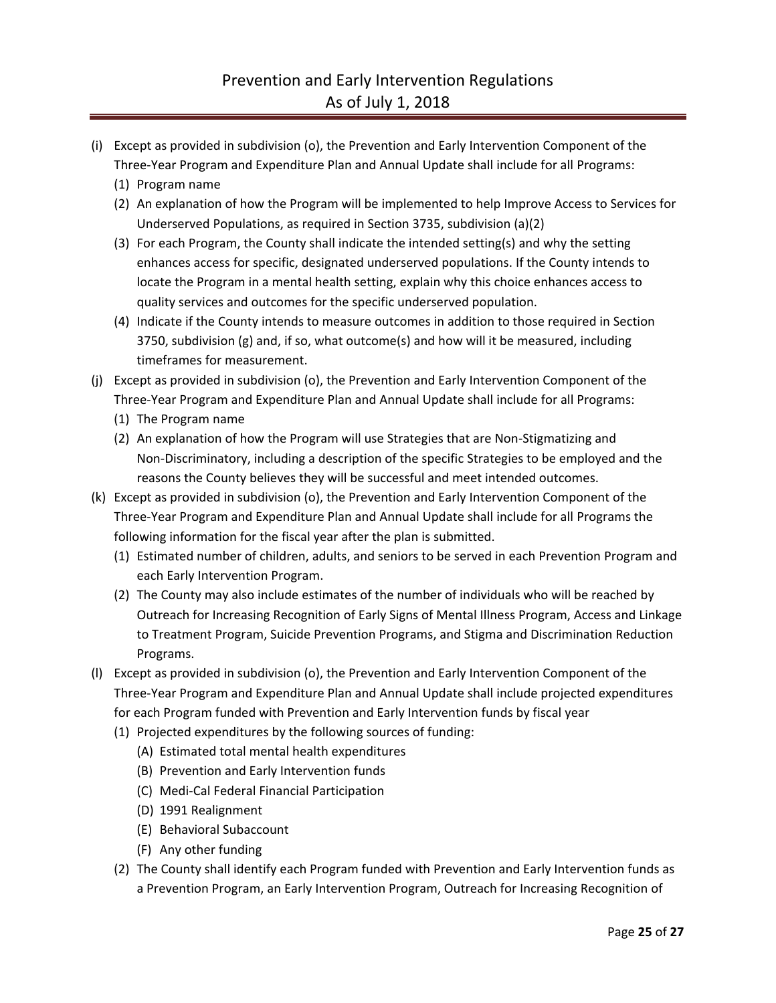- (i) Except as provided in subdivision (o), the Prevention and Early Intervention Component of the Three-Year Program and Expenditure Plan and Annual Update shall include for all Programs:
	- (1) Program name
	- (2) An explanation of how the Program will be implemented to help Improve Access to Services for Underserved Populations, as required in Section 3735, subdivision (a)(2)
	- (3) For each Program, the County shall indicate the intended setting(s) and why the setting enhances access for specific, designated underserved populations. If the County intends to locate the Program in a mental health setting, explain why this choice enhances access to quality services and outcomes for the specific underserved population.
	- (4) Indicate if the County intends to measure outcomes in addition to those required in Section 3750, subdivision (g) and, if so, what outcome(s) and how will it be measured, including timeframes for measurement.
- (j) Except as provided in subdivision (o), the Prevention and Early Intervention Component of the Three-Year Program and Expenditure Plan and Annual Update shall include for all Programs:
	- (1) The Program name
	- (2) An explanation of how the Program will use Strategies that are Non-Stigmatizing and Non-Discriminatory, including a description of the specific Strategies to be employed and the reasons the County believes they will be successful and meet intended outcomes.
- (k) Except as provided in subdivision (o), the Prevention and Early Intervention Component of the Three-Year Program and Expenditure Plan and Annual Update shall include for all Programs the following information for the fiscal year after the plan is submitted.
	- (1) Estimated number of children, adults, and seniors to be served in each Prevention Program and each Early Intervention Program.
	- (2) The County may also include estimates of the number of individuals who will be reached by Outreach for Increasing Recognition of Early Signs of Mental Illness Program, Access and Linkage to Treatment Program, Suicide Prevention Programs, and Stigma and Discrimination Reduction Programs.
- (l) Except as provided in subdivision (o), the Prevention and Early Intervention Component of the Three-Year Program and Expenditure Plan and Annual Update shall include projected expenditures for each Program funded with Prevention and Early Intervention funds by fiscal year
	- (1) Projected expenditures by the following sources of funding:
		- (A) Estimated total mental health expenditures
		- (B) Prevention and Early Intervention funds
		- (C) Medi-Cal Federal Financial Participation
		- (D) 1991 Realignment
		- (E) Behavioral Subaccount
		- (F) Any other funding
	- (2) The County shall identify each Program funded with Prevention and Early Intervention funds as a Prevention Program, an Early Intervention Program, Outreach for Increasing Recognition of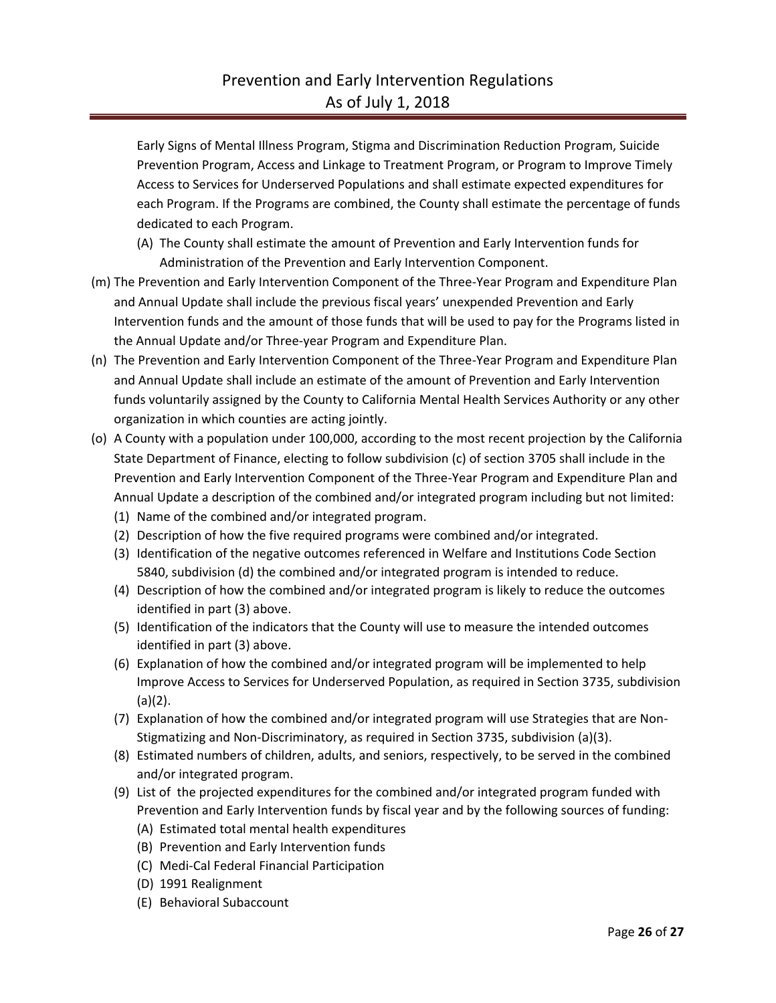Early Signs of Mental Illness Program, Stigma and Discrimination Reduction Program, Suicide Prevention Program, Access and Linkage to Treatment Program, or Program to Improve Timely Access to Services for Underserved Populations and shall estimate expected expenditures for each Program. If the Programs are combined, the County shall estimate the percentage of funds dedicated to each Program.

- (A) The County shall estimate the amount of Prevention and Early Intervention funds for Administration of the Prevention and Early Intervention Component.
- (m) The Prevention and Early Intervention Component of the Three-Year Program and Expenditure Plan and Annual Update shall include the previous fiscal years' unexpended Prevention and Early Intervention funds and the amount of those funds that will be used to pay for the Programs listed in the Annual Update and/or Three-year Program and Expenditure Plan.
- (n) The Prevention and Early Intervention Component of the Three-Year Program and Expenditure Plan and Annual Update shall include an estimate of the amount of Prevention and Early Intervention funds voluntarily assigned by the County to California Mental Health Services Authority or any other organization in which counties are acting jointly.
- (o) A County with a population under 100,000, according to the most recent projection by the California State Department of Finance, electing to follow subdivision (c) of section 3705 shall include in the Prevention and Early Intervention Component of the Three-Year Program and Expenditure Plan and Annual Update a description of the combined and/or integrated program including but not limited:
	- (1) Name of the combined and/or integrated program.
	- (2) Description of how the five required programs were combined and/or integrated.
	- (3) Identification of the negative outcomes referenced in Welfare and Institutions Code Section 5840, subdivision (d) the combined and/or integrated program is intended to reduce.
	- (4) Description of how the combined and/or integrated program is likely to reduce the outcomes identified in part (3) above.
	- (5) Identification of the indicators that the County will use to measure the intended outcomes identified in part (3) above.
	- (6) Explanation of how the combined and/or integrated program will be implemented to help Improve Access to Services for Underserved Population, as required in Section 3735, subdivision (a)(2).
	- (7) Explanation of how the combined and/or integrated program will use Strategies that are Non-Stigmatizing and Non-Discriminatory, as required in Section 3735, subdivision (a)(3).
	- (8) Estimated numbers of children, adults, and seniors, respectively, to be served in the combined and/or integrated program.
	- (9) List of the projected expenditures for the combined and/or integrated program funded with Prevention and Early Intervention funds by fiscal year and by the following sources of funding:
		- (A) Estimated total mental health expenditures
		- (B) Prevention and Early Intervention funds
		- (C) Medi-Cal Federal Financial Participation
		- (D) 1991 Realignment
		- (E) Behavioral Subaccount